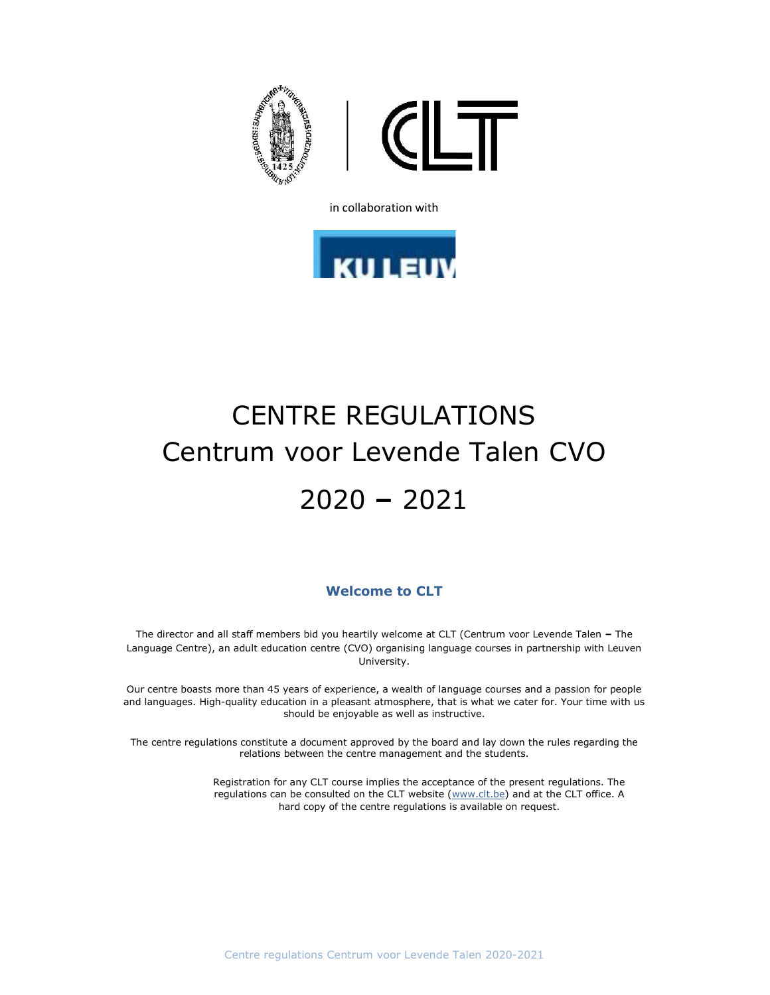

in collaboration with



# CENTRE REGULATIONS Centrum voor Levende Talen CVO 2020 – 2021

## Welcome to CLT

The director and all staff members bid you heartily welcome at CLT (Centrum voor Levende Talen – The Language Centre), an adult education centre (CVO) organising language courses in partnership with Leuven University.

Our centre boasts more than 45 years of experience, a wealth of language courses and a passion for people and languages. High-quality education in a pleasant atmosphere, that is what we cater for. Your time with us should be enjoyable as well as instructive.

The centre regulations constitute a document approved by the board and lay down the rules regarding the relations between the centre management and the students.

> Registration for any CLT course implies the acceptance of the present regulations. The regulations can be consulted on the CLT website (www.clt.be) and at the CLT office. A hard copy of the centre regulations is available on request.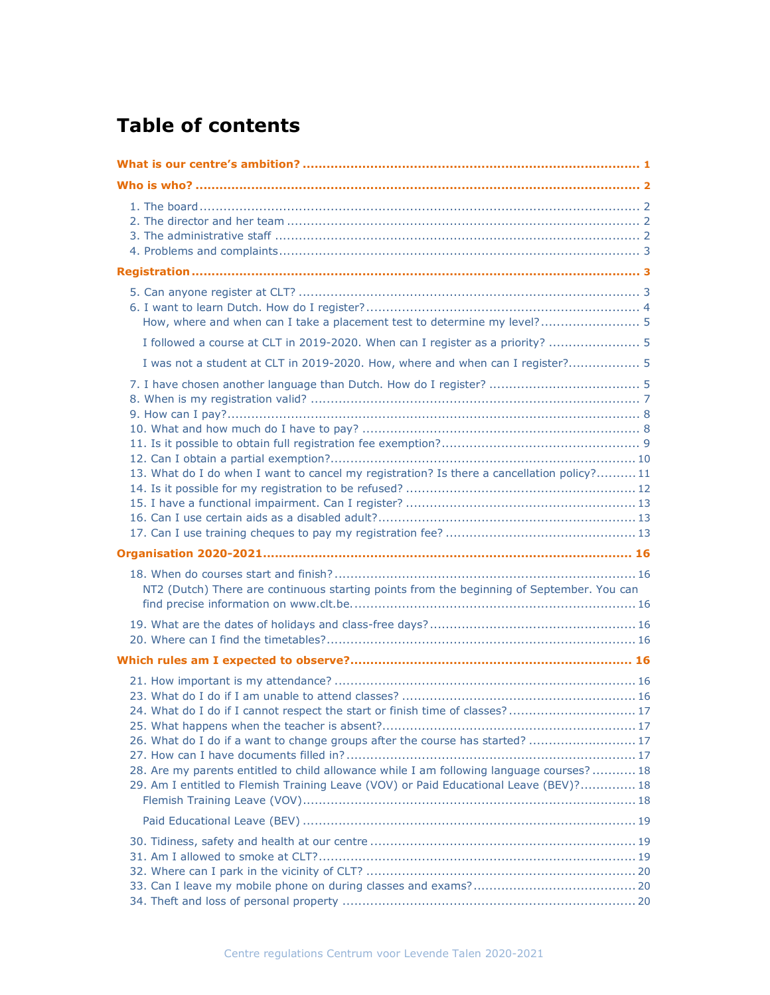# Table of contents

| How, where and when can I take a placement test to determine my level? 5                                                                                                                                                                                                                                                                            |
|-----------------------------------------------------------------------------------------------------------------------------------------------------------------------------------------------------------------------------------------------------------------------------------------------------------------------------------------------------|
| I followed a course at CLT in 2019-2020. When can I register as a priority?  5                                                                                                                                                                                                                                                                      |
| I was not a student at CLT in 2019-2020. How, where and when can I register? 5                                                                                                                                                                                                                                                                      |
| 13. What do I do when I want to cancel my registration? Is there a cancellation policy? 11                                                                                                                                                                                                                                                          |
|                                                                                                                                                                                                                                                                                                                                                     |
| NT2 (Dutch) There are continuous starting points from the beginning of September. You can                                                                                                                                                                                                                                                           |
|                                                                                                                                                                                                                                                                                                                                                     |
| 24. What do I do if I cannot respect the start or finish time of classes? 17<br>26. What do I do if a want to change groups after the course has started?  17<br>28. Are my parents entitled to child allowance while I am following language courses?  18<br>29. Am I entitled to Flemish Training Leave (VOV) or Paid Educational Leave (BEV)? 18 |
|                                                                                                                                                                                                                                                                                                                                                     |
|                                                                                                                                                                                                                                                                                                                                                     |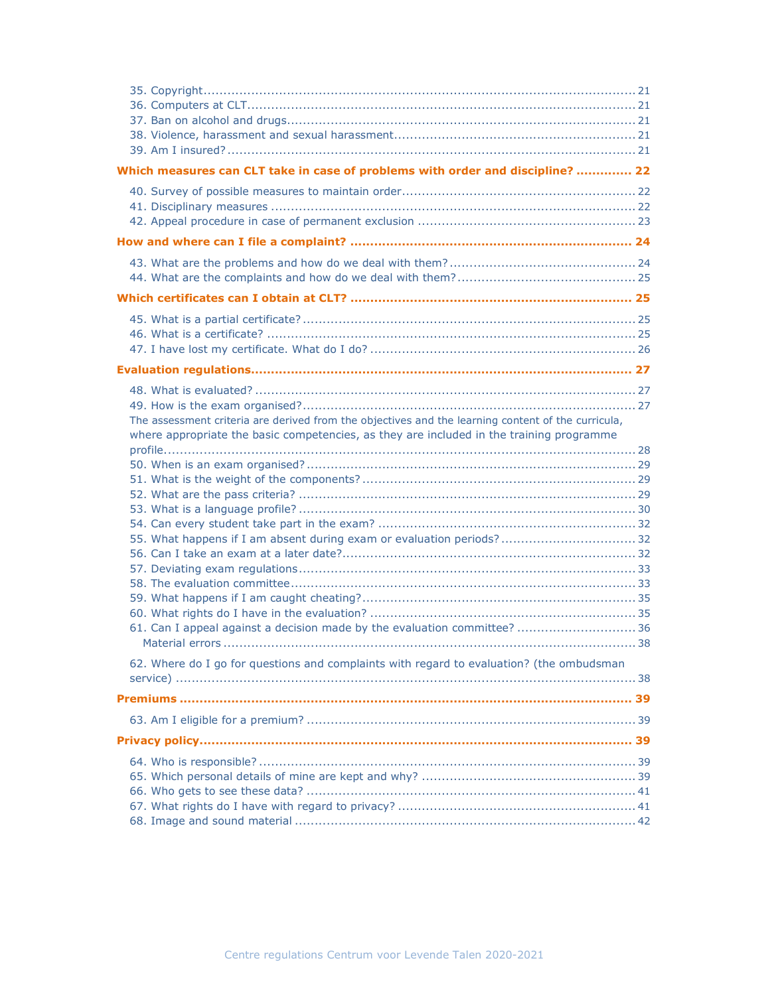| Which measures can CLT take in case of problems with order and discipline?  22                                                                                                                                                                                                                                                                       |
|------------------------------------------------------------------------------------------------------------------------------------------------------------------------------------------------------------------------------------------------------------------------------------------------------------------------------------------------------|
|                                                                                                                                                                                                                                                                                                                                                      |
|                                                                                                                                                                                                                                                                                                                                                      |
|                                                                                                                                                                                                                                                                                                                                                      |
|                                                                                                                                                                                                                                                                                                                                                      |
|                                                                                                                                                                                                                                                                                                                                                      |
|                                                                                                                                                                                                                                                                                                                                                      |
| The assessment criteria are derived from the objectives and the learning content of the curricula,<br>where appropriate the basic competencies, as they are included in the training programme<br>55. What happens if I am absent during exam or evaluation periods? 32<br>61. Can I appeal against a decision made by the evaluation committee?  36 |
| 62. Where do I go for questions and complaints with regard to evaluation? (the ombudsman                                                                                                                                                                                                                                                             |
|                                                                                                                                                                                                                                                                                                                                                      |
|                                                                                                                                                                                                                                                                                                                                                      |
|                                                                                                                                                                                                                                                                                                                                                      |
|                                                                                                                                                                                                                                                                                                                                                      |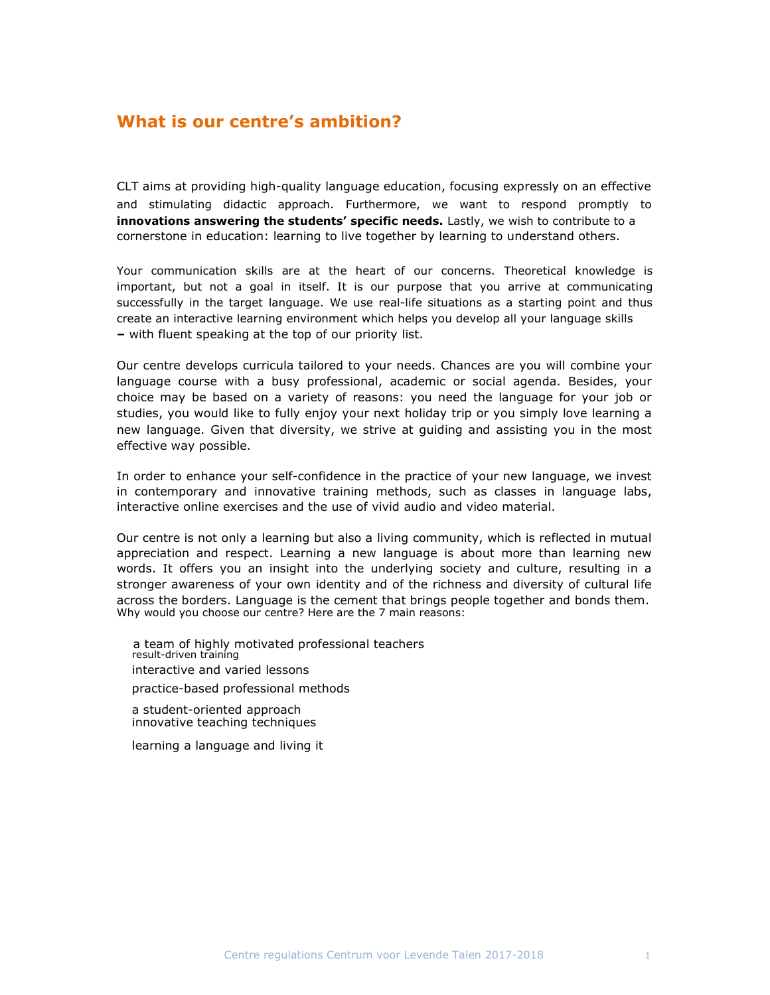# What is our centre's ambition?

CLT aims at providing high-quality language education, focusing expressly on an effective and stimulating didactic approach. Furthermore, we want to respond promptly to innovations answering the students' specific needs. Lastly, we wish to contribute to a cornerstone in education: learning to live together by learning to understand others.

Your communication skills are at the heart of our concerns. Theoretical knowledge is important, but not a goal in itself. It is our purpose that you arrive at communicating successfully in the target language. We use real-life situations as a starting point and thus create an interactive learning environment which helps you develop all your language skills – with fluent speaking at the top of our priority list.

Our centre develops curricula tailored to your needs. Chances are you will combine your language course with a busy professional, academic or social agenda. Besides, your choice may be based on a variety of reasons: you need the language for your job or studies, you would like to fully enjoy your next holiday trip or you simply love learning a new language. Given that diversity, we strive at guiding and assisting you in the most effective way possible.

In order to enhance your self-confidence in the practice of your new language, we invest in contemporary and innovative training methods, such as classes in language labs, interactive online exercises and the use of vivid audio and video material.

Our centre is not only a learning but also a living community, which is reflected in mutual appreciation and respect. Learning a new language is about more than learning new words. It offers you an insight into the underlying society and culture, resulting in a stronger awareness of your own identity and of the richness and diversity of cultural life across the borders. Language is the cement that brings people together and bonds them. Why would you choose our centre? Here are the 7 main reasons:

a team of highly motivated professional teachers result-driven training interactive and varied lessons practice-based professional methods

a student-oriented approach innovative teaching techniques

learning a language and living it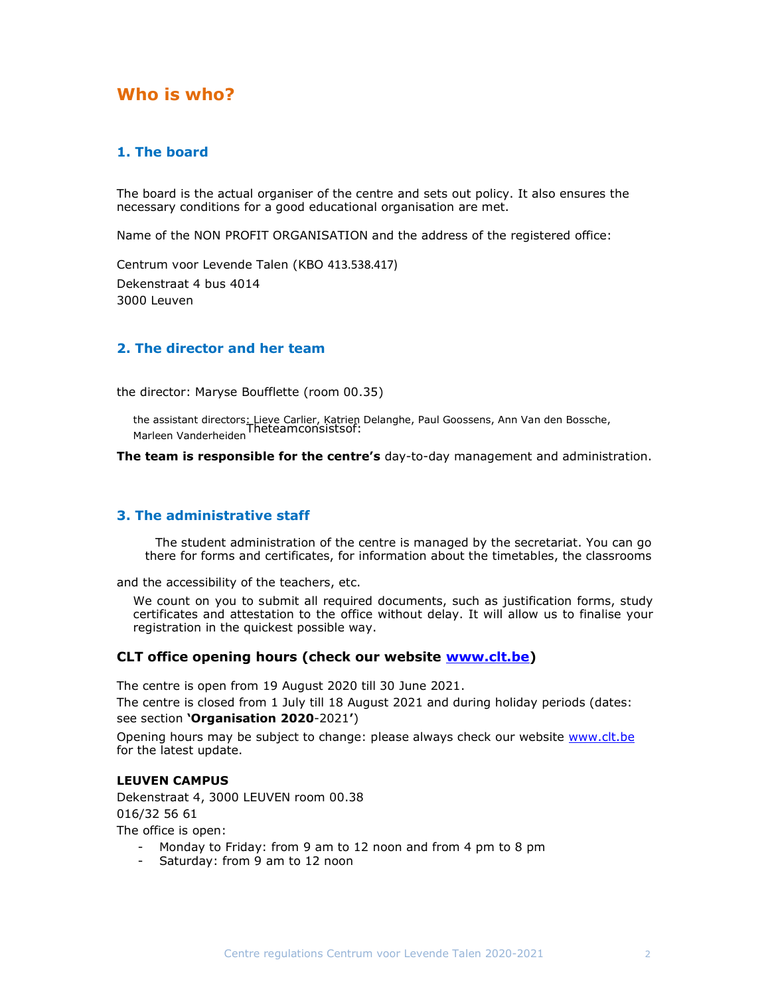# Who is who?

## 1. The board

The board is the actual organiser of the centre and sets out policy. It also ensures the necessary conditions for a good educational organisation are met.

Name of the NON PROFIT ORGANISATION and the address of the registered office:

Centrum voor Levende Talen (KBO 413.538.417) Dekenstraat 4 bus 4014 3000 Leuven

## 2. The director and her team

the director: Maryse Boufflette (room 00.35)

the assistant directors: Lieve Carlier, Katrien Delanghe, Paul Goossens, Ann Van den Bossche,<br>Marleen Vanderheiden

The team is responsible for the centre's day-to-day management and administration.

## 3. The administrative staff

The student administration of the centre is managed by the secretariat. You can go there for forms and certificates, for information about the timetables, the classrooms

and the accessibility of the teachers, etc.

We count on you to submit all required documents, such as justification forms, study certificates and attestation to the office without delay. It will allow us to finalise your registration in the quickest possible way.

### CLT office opening hours (check our website www.clt.be)

The centre is open from 19 August 2020 till 30 June 2021.

The centre is closed from 1 July till 18 August 2021 and during holiday periods (dates: see section 'Organisation 2020-2021')

Opening hours may be subject to change: please always check our website www.clt.be for the latest update.

#### LEUVEN CAMPUS

Dekenstraat 4, 3000 LEUVEN room 00.38 016/32 56 61 The office is open:

- Monday to Friday: from 9 am to 12 noon and from 4 pm to 8 pm

- Saturday: from 9 am to 12 noon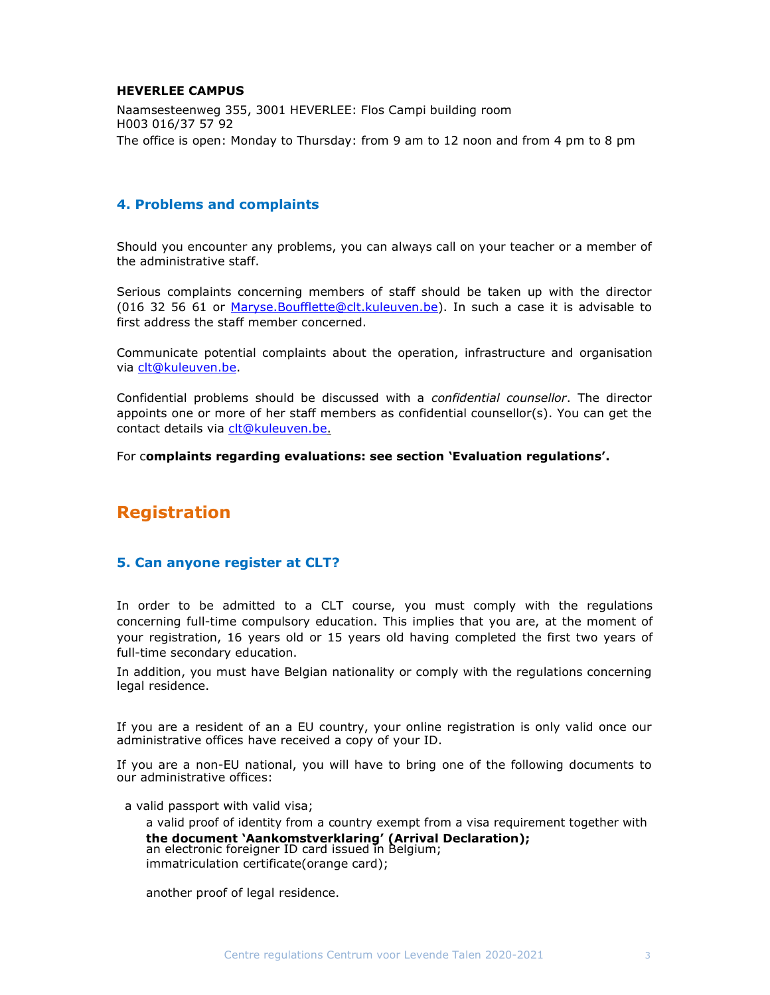#### HEVERLEE CAMPUS

Naamsesteenweg 355, 3001 HEVERLEE: Flos Campi building room H003 016/37 57 92 The office is open: Monday to Thursday: from 9 am to 12 noon and from 4 pm to 8 pm

## 4. Problems and complaints

Should you encounter any problems, you can always call on your teacher or a member of the administrative staff.

Serious complaints concerning members of staff should be taken up with the director (016 32 56 61 or Maryse.Boufflette@clt.kuleuven.be). In such a case it is advisable to first address the staff member concerned.

Communicate potential complaints about the operation, infrastructure and organisation via clt@kuleuven.be.

Confidential problems should be discussed with a confidential counsellor. The director appoints one or more of her staff members as confidential counsellor(s). You can get the contact details via clt@kuleuven.be.

For complaints regarding evaluations: see section 'Evaluation regulations'.

# Registration

## 5. Can anyone register at CLT?

In order to be admitted to a CLT course, you must comply with the regulations concerning full-time compulsory education. This implies that you are, at the moment of your registration, 16 years old or 15 years old having completed the first two years of full-time secondary education.

In addition, you must have Belgian nationality or comply with the regulations concerning legal residence.

If you are a resident of an a EU country, your online registration is only valid once our administrative offices have received a copy of your ID.

If you are a non-EU national, you will have to bring one of the following documents to our administrative offices:

a valid passport with valid visa;

a valid proof of identity from a country exempt from a visa requirement together with the document 'Aankomstverklaring' (Arrival Declaration); an electronic foreigner ID card issued in Belgium; immatriculation certificate(orange card);

another proof of legal residence.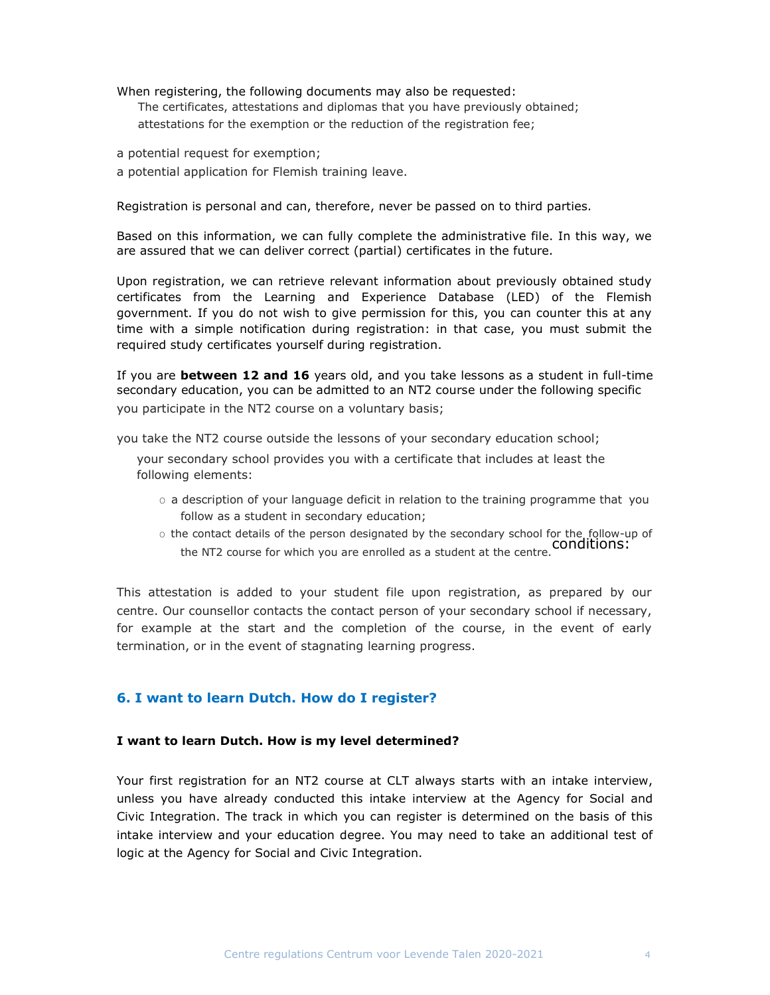When registering, the following documents may also be requested: The certificates, attestations and diplomas that you have previously obtained; attestations for the exemption or the reduction of the registration fee;

a potential request for exemption;

a potential application for Flemish training leave.

Registration is personal and can, therefore, never be passed on to third parties.

Based on this information, we can fully complete the administrative file. In this way, we are assured that we can deliver correct (partial) certificates in the future.

Upon registration, we can retrieve relevant information about previously obtained study certificates from the Learning and Experience Database (LED) of the Flemish government. If you do not wish to give permission for this, you can counter this at any time with a simple notification during registration: in that case, you must submit the required study certificates yourself during registration.

If you are between 12 and 16 years old, and you take lessons as a student in full-time secondary education, you can be admitted to an NT2 course under the following specific you participate in the NT2 course on a voluntary basis;

you take the NT2 course outside the lessons of your secondary education school;

your secondary school provides you with a certificate that includes at least the following elements:

- $\circ$  a description of your language deficit in relation to the training programme that you follow as a student in secondary education;
- $\circ$  the contact details of the person designated by the secondary school for the follow-up of the NT2 course for which you are enrolled as a student at the centre. Conditions:

This attestation is added to your student file upon registration, as prepared by our centre. Our counsellor contacts the contact person of your secondary school if necessary, for example at the start and the completion of the course, in the event of early termination, or in the event of stagnating learning progress.

## 6. I want to learn Dutch. How do I register?

#### I want to learn Dutch. How is my level determined?

Your first registration for an NT2 course at CLT always starts with an intake interview, unless you have already conducted this intake interview at the Agency for Social and Civic Integration. The track in which you can register is determined on the basis of this intake interview and your education degree. You may need to take an additional test of logic at the Agency for Social and Civic Integration.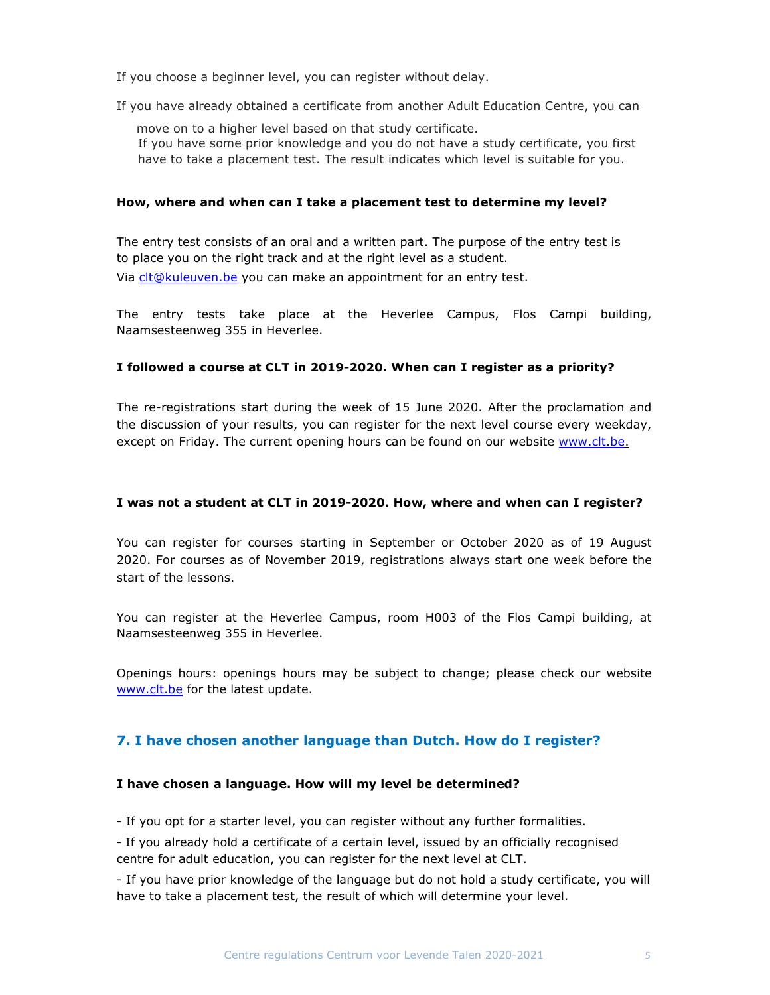If you choose a beginner level, you can register without delay.

If you have already obtained a certificate from another Adult Education Centre, you can

move on to a higher level based on that study certificate. If you have some prior knowledge and you do not have a study certificate, you first have to take a placement test. The result indicates which level is suitable for you.

#### How, where and when can I take a placement test to determine my level?

The entry test consists of an oral and a written part. The purpose of the entry test is to place you on the right track and at the right level as a student. Via clt@kuleuven.be you can make an appointment for an entry test.

The entry tests take place at the Heverlee Campus, Flos Campi building, Naamsesteenweg 355 in Heverlee.

## I followed a course at CLT in 2019-2020. When can I register as a priority?

The re-registrations start during the week of 15 June 2020. After the proclamation and the discussion of your results, you can register for the next level course every weekday, except on Friday. The current opening hours can be found on our website www.clt.be.

#### I was not a student at CLT in 2019-2020. How, where and when can I register?

You can register for courses starting in September or October 2020 as of 19 August 2020. For courses as of November 2019, registrations always start one week before the start of the lessons.

You can register at the Heverlee Campus, room H003 of the Flos Campi building, at Naamsesteenweg 355 in Heverlee.

Openings hours: openings hours may be subject to change; please check our website www.clt.be for the latest update.

## 7. I have chosen another language than Dutch. How do I register?

#### I have chosen a language. How will my level be determined?

- If you opt for a starter level, you can register without any further formalities.

- If you already hold a certificate of a certain level, issued by an officially recognised centre for adult education, you can register for the next level at CLT.

- If you have prior knowledge of the language but do not hold a study certificate, you will have to take a placement test, the result of which will determine your level.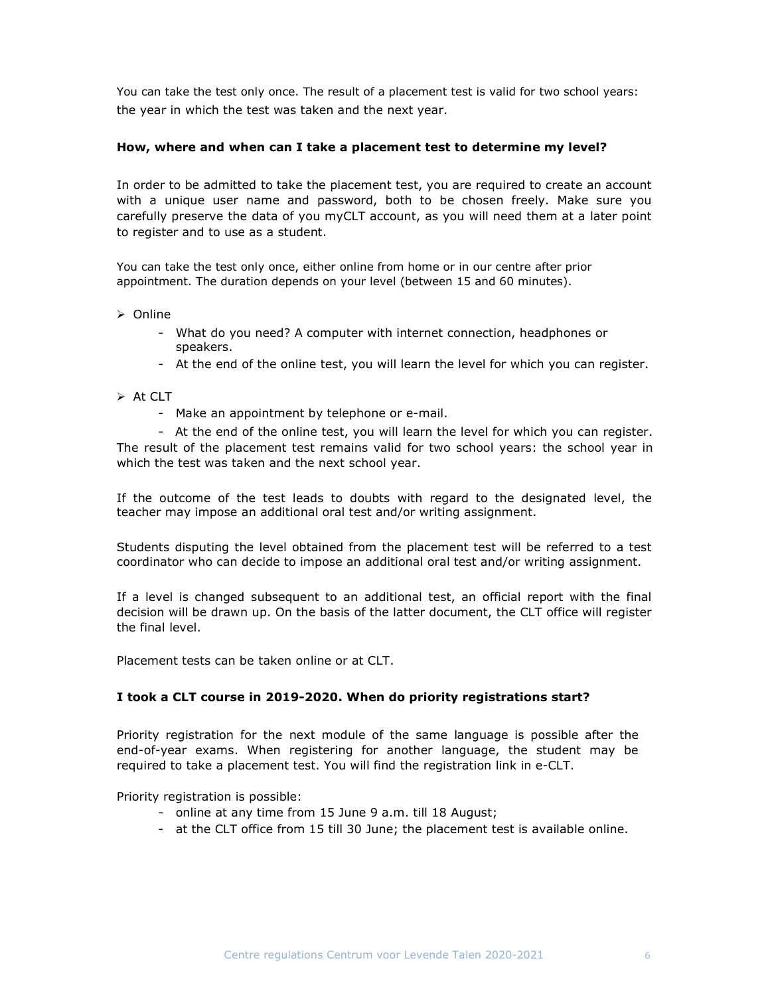You can take the test only once. The result of a placement test is valid for two school years: the year in which the test was taken and the next year.

#### How, where and when can I take a placement test to determine my level?

In order to be admitted to take the placement test, you are required to create an account with a unique user name and password, both to be chosen freely. Make sure you carefully preserve the data of you myCLT account, as you will need them at a later point to register and to use as a student.

You can take the test only once, either online from home or in our centre after prior appointment. The duration depends on your level (between 15 and 60 minutes).

#### $\triangleright$  Online

- What do you need? A computer with internet connection, headphones or speakers.
- At the end of the online test, you will learn the level for which you can register.

#### $\triangleright$  At CLT

- Make an appointment by telephone or e-mail.

- At the end of the online test, you will learn the level for which you can register. The result of the placement test remains valid for two school years: the school year in which the test was taken and the next school year.

If the outcome of the test leads to doubts with regard to the designated level, the teacher may impose an additional oral test and/or writing assignment.

Students disputing the level obtained from the placement test will be referred to a test coordinator who can decide to impose an additional oral test and/or writing assignment.

If a level is changed subsequent to an additional test, an official report with the final decision will be drawn up. On the basis of the latter document, the CLT office will register the final level.

Placement tests can be taken online or at CLT.

#### I took a CLT course in 2019-2020. When do priority registrations start?

Priority registration for the next module of the same language is possible after the end-of-year exams. When registering for another language, the student may be required to take a placement test. You will find the registration link in e-CLT.

Priority registration is possible:

- online at any time from 15 June 9 a.m. till 18 August;
- at the CLT office from 15 till 30 June; the placement test is available online.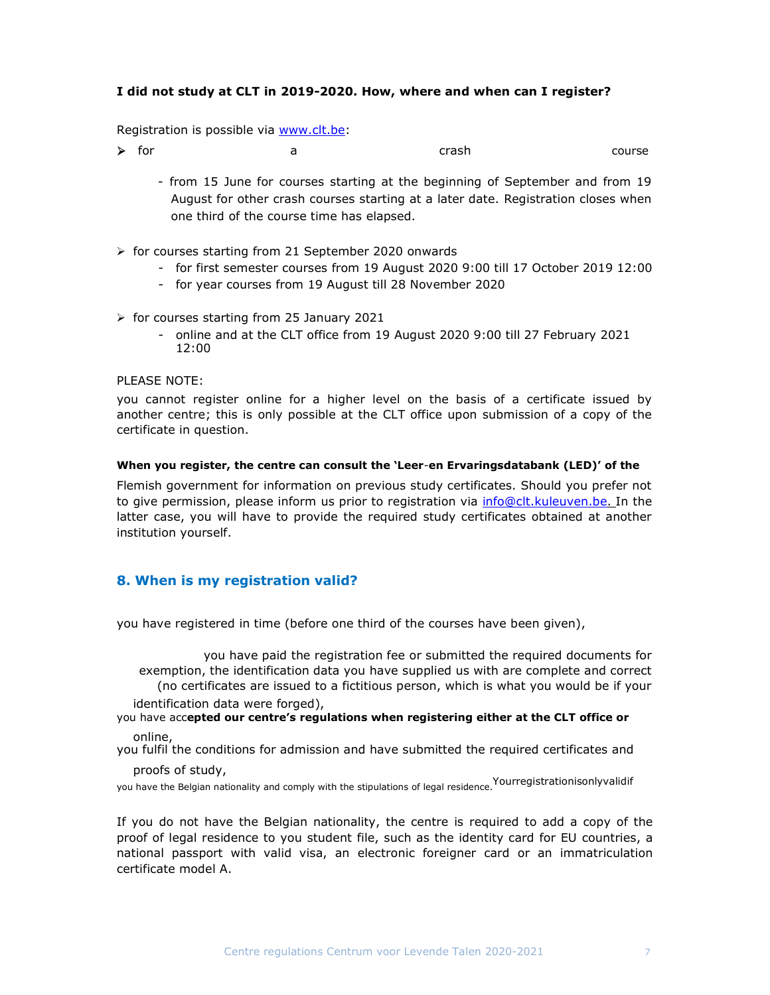#### I did not study at CLT in 2019-2020. How, where and when can I register?

Registration is possible via www.clt.be:

**→** for a a crash course

- from 15 June for courses starting at the beginning of September and from 19 August for other crash courses starting at a later date. Registration closes when one third of the course time has elapsed.
- $\triangleright$  for courses starting from 21 September 2020 onwards
	- for first semester courses from 19 August 2020 9:00 till 17 October 2019 12:00
	- for year courses from 19 August till 28 November 2020
- $\triangleright$  for courses starting from 25 January 2021
	- online and at the CLT office from 19 August 2020 9:00 till 27 February 2021 12:00

#### PLEASE NOTE:

you cannot register online for a higher level on the basis of a certificate issued by another centre; this is only possible at the CLT office upon submission of a copy of the certificate in question.

#### When you register, the centre can consult the 'Leer-en Ervaringsdatabank (LED)' of the

Flemish government for information on previous study certificates. Should you prefer not to give permission, please inform us prior to registration via info@clt.kuleuven.be. In the latter case, you will have to provide the required study certificates obtained at another institution yourself.

## 8. When is my registration valid?

you have registered in time (before one third of the courses have been given),

you have paid the registration fee or submitted the required documents for exemption, the identification data you have supplied us with are complete and correct (no certificates are issued to a fictitious person, which is what you would be if your

identification data were forged),

#### you have accepted our centre's regulations when registering either at the CLT office or online,

you fulfil the conditions for admission and have submitted the required certificates and

#### proofs of study,

you have the Belgian nationality and comply with the stipulations of legal residence. Yourregistrationisonlyvalidif

If you do not have the Belgian nationality, the centre is required to add a copy of the proof of legal residence to you student file, such as the identity card for EU countries, a national passport with valid visa, an electronic foreigner card or an immatriculation certificate model A.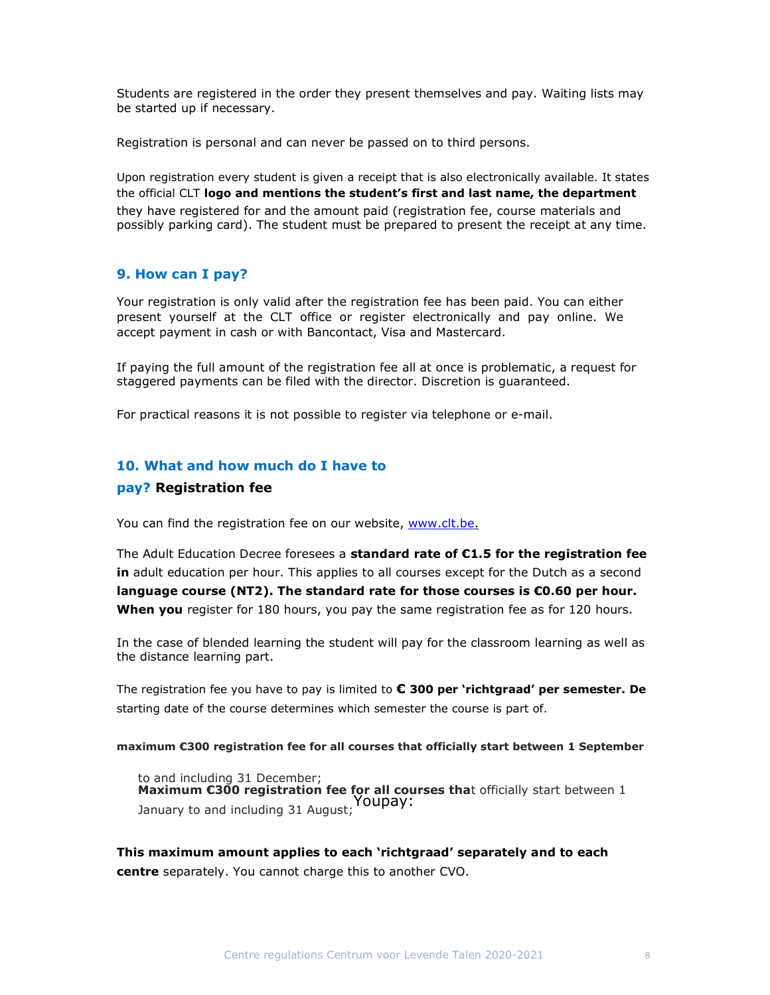Students are registered in the order they present themselves and pay. Waiting lists may be started up if necessary.

Registration is personal and can never be passed on to third persons.

Upon registration every student is given a receipt that is also electronically available. It states the official CLT logo and mentions the student's first and last name, the department they have registered for and the amount paid (registration fee, course materials and possibly parking card). The student must be prepared to present the receipt at any time.

#### 9. How can I pay?

Your registration is only valid after the registration fee has been paid. You can either present yourself at the CLT office or register electronically and pay online. We accept payment in cash or with Bancontact, Visa and Mastercard.

If paying the full amount of the registration fee all at once is problematic, a request for staggered payments can be filed with the director. Discretion is guaranteed.

For practical reasons it is not possible to register via telephone or e-mail.

## 10. What and how much do I have to

#### pay? Registration fee

You can find the registration fee on our website, www.clt.be.

The Adult Education Decree foresees a standard rate of  $C1.5$  for the registration fee in adult education per hour. This applies to all courses except for the Dutch as a second language course (NT2). The standard rate for those courses is  $\epsilon$ 0.60 per hour. When you register for 180 hours, you pay the same registration fee as for 120 hours.

In the case of blended learning the student will pay for the classroom learning as well as the distance learning part.

The registration fee you have to pay is limited to  $\epsilon$  300 per 'richtgraad' per semester. De starting date of the course determines which semester the course is part of.

#### maximum €300 registration fee for all courses that officially start between 1 September

to and including 31 December; Maximum  $\epsilon$ 300 registration fee for all courses that officially start between 1 January to and including 31 August; Youpay:

This maximum amount applies to each 'richtgraad' separately and to each centre separately. You cannot charge this to another CVO.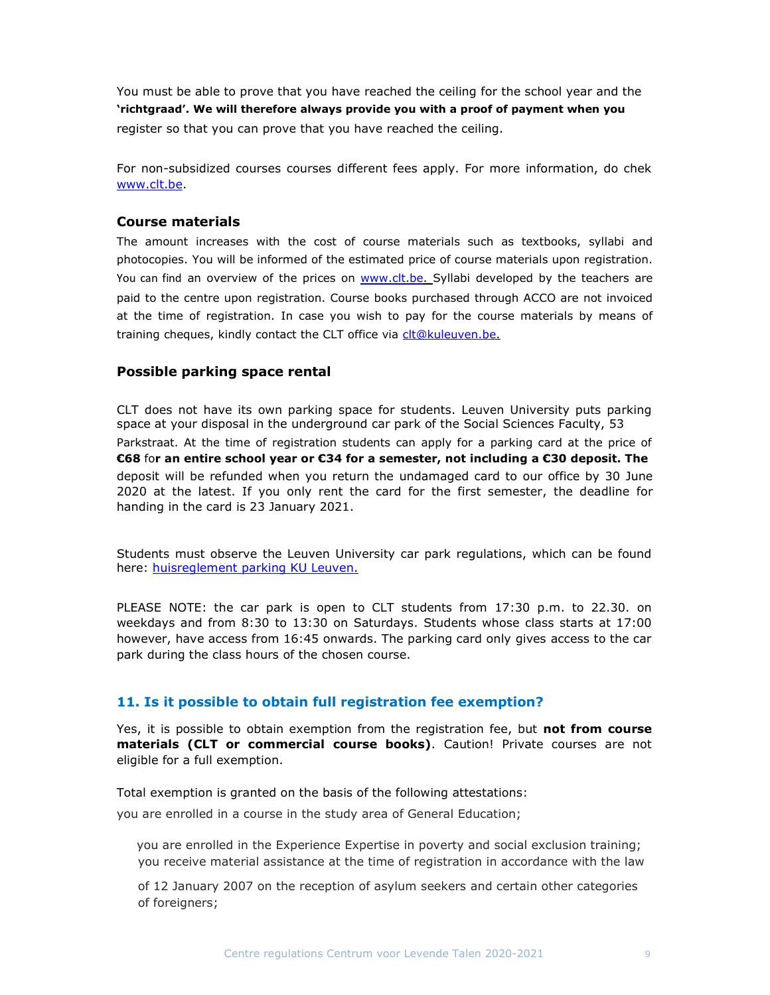You must be able to prove that you have reached the ceiling for the school year and the 'richtgraad'. We will therefore always provide you with a proof of payment when you register so that you can prove that you have reached the ceiling.

For non-subsidized courses courses different fees apply. For more information, do chek www.clt.be.

#### Course materials

The amount increases with the cost of course materials such as textbooks, syllabi and photocopies. You will be informed of the estimated price of course materials upon registration. You can find an overview of the prices on www.clt.be. Syllabi developed by the teachers are paid to the centre upon registration. Course books purchased through ACCO are not invoiced at the time of registration. In case you wish to pay for the course materials by means of training cheques, kindly contact the CLT office via clt@kuleuven.be.

## Possible parking space rental

CLT does not have its own parking space for students. Leuven University puts parking space at your disposal in the underground car park of the Social Sciences Faculty, 53 Parkstraat. At the time of registration students can apply for a parking card at the price of €68 for an entire school year or €34 for a semester, not including a €30 deposit. The deposit will be refunded when you return the undamaged card to our office by 30 June 2020 at the latest. If you only rent the card for the first semester, the deadline for handing in the card is 23 January 2021.

Students must observe the Leuven University car park regulations, which can be found here: huisreglement parking KU Leuven.

PLEASE NOTE: the car park is open to CLT students from 17:30 p.m. to 22.30. on weekdays and from 8:30 to 13:30 on Saturdays. Students whose class starts at 17:00 however, have access from 16:45 onwards. The parking card only gives access to the car park during the class hours of the chosen course.

## 11. Is it possible to obtain full registration fee exemption?

Yes, it is possible to obtain exemption from the registration fee, but not from course materials (CLT or commercial course books). Caution! Private courses are not eligible for a full exemption.

Total exemption is granted on the basis of the following attestations:

you are enrolled in a course in the study area of General Education;

you are enrolled in the Experience Expertise in poverty and social exclusion training; you receive material assistance at the time of registration in accordance with the law

of 12 January 2007 on the reception of asylum seekers and certain other categories of foreigners;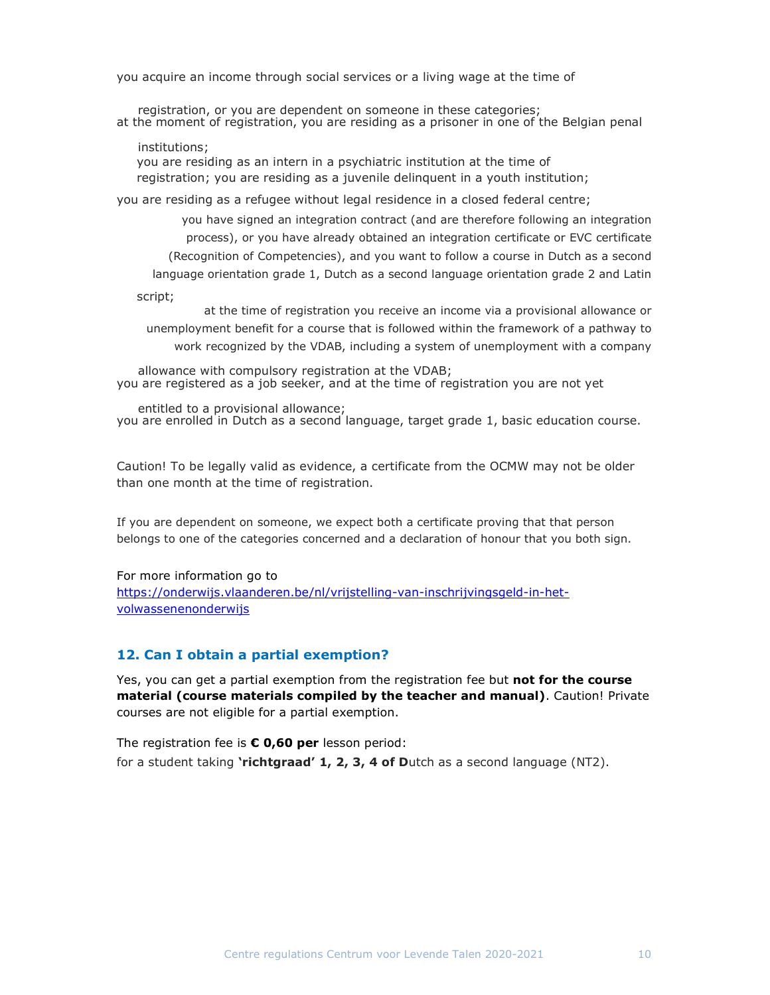you acquire an income through social services or a living wage at the time of

registration, or you are dependent on someone in these categories; at the moment of registration, you are residing as a prisoner in one of the Belgian penal

institutions; you are residing as an intern in a psychiatric institution at the time of registration; you are residing as a juvenile delinquent in a youth institution;

you are residing as a refugee without legal residence in a closed federal centre;

you have signed an integration contract (and are therefore following an integration process), or you have already obtained an integration certificate or EVC certificate (Recognition of Competencies), and you want to follow a course in Dutch as a second language orientation grade 1, Dutch as a second language orientation grade 2 and Latin script;

at the time of registration you receive an income via a provisional allowance or unemployment benefit for a course that is followed within the framework of a pathway to work recognized by the VDAB, including a system of unemployment with a company

allowance with compulsory registration at the VDAB; you are registered as a job seeker, and at the time of registration you are not yet

entitled to a provisional allowance; you are enrolled in Dutch as a second language, target grade 1, basic education course.

Caution! To be legally valid as evidence, a certificate from the OCMW may not be older than one month at the time of registration.

If you are dependent on someone, we expect both a certificate proving that that person belongs to one of the categories concerned and a declaration of honour that you both sign.

For more information go to

https://onderwijs.vlaanderen.be/nl/vrijstelling-van-inschrijvingsgeld-in-hetvolwassenenonderwijs

#### 12. Can I obtain a partial exemption?

Yes, you can get a partial exemption from the registration fee but not for the course material (course materials compiled by the teacher and manual). Caution! Private courses are not eligible for a partial exemption.

The registration fee is  $\epsilon$  0,60 per lesson period: for a student taking **'richtgraad' 1, 2, 3, 4 of D**utch as a second language (NT2).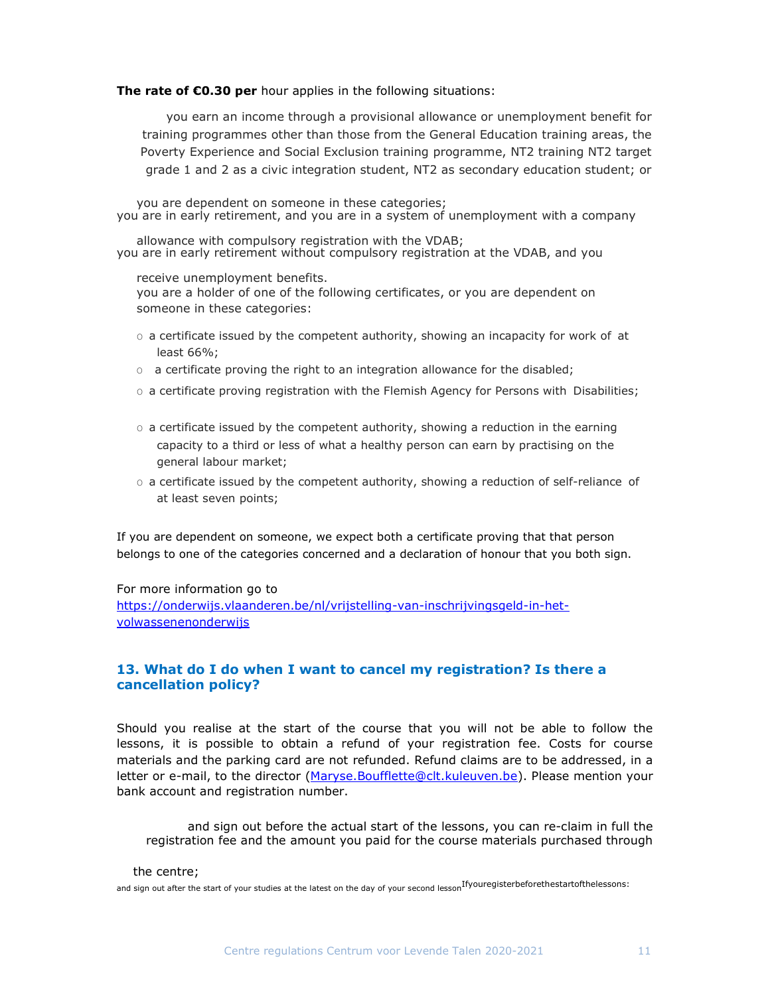#### The rate of €0.30 per hour applies in the following situations:

you earn an income through a provisional allowance or unemployment benefit for training programmes other than those from the General Education training areas, the Poverty Experience and Social Exclusion training programme, NT2 training NT2 target grade 1 and 2 as a civic integration student, NT2 as secondary education student; or

you are dependent on someone in these categories; you are in early retirement, and you are in a system of unemployment with a company

allowance with compulsory registration with the VDAB; you are in early retirement without compulsory registration at the VDAB, and you

receive unemployment benefits.

you are a holder of one of the following certificates, or you are dependent on someone in these categories:

- $\circ$  a certificate issued by the competent authority, showing an incapacity for work of at least 66%;
- $\circ$  a certificate proving the right to an integration allowance for the disabled;
- $\circ$  a certificate proving registration with the Flemish Agency for Persons with Disabilities;
- $\circ$  a certificate issued by the competent authority, showing a reduction in the earning capacity to a third or less of what a healthy person can earn by practising on the general labour market;
- O a certificate issued by the competent authority, showing a reduction of self-reliance of at least seven points;

If you are dependent on someone, we expect both a certificate proving that that person belongs to one of the categories concerned and a declaration of honour that you both sign.

#### For more information go to

https://onderwijs.vlaanderen.be/nl/vrijstelling-van-inschrijvingsgeld-in-hetvolwassenenonderwijs

## 13. What do I do when I want to cancel my registration? Is there a cancellation policy?

Should you realise at the start of the course that you will not be able to follow the lessons, it is possible to obtain a refund of your registration fee. Costs for course materials and the parking card are not refunded. Refund claims are to be addressed, in a letter or e-mail, to the director (Maryse.Boufflette@clt.kuleuven.be). Please mention your bank account and registration number.

and sign out before the actual start of the lessons, you can re-claim in full the registration fee and the amount you paid for the course materials purchased through

#### the centre;

and sign out after the start of your studies at the latest on the day of your second lesson<sup>Ifyouregisterbeforethestartofthelessons:</sup>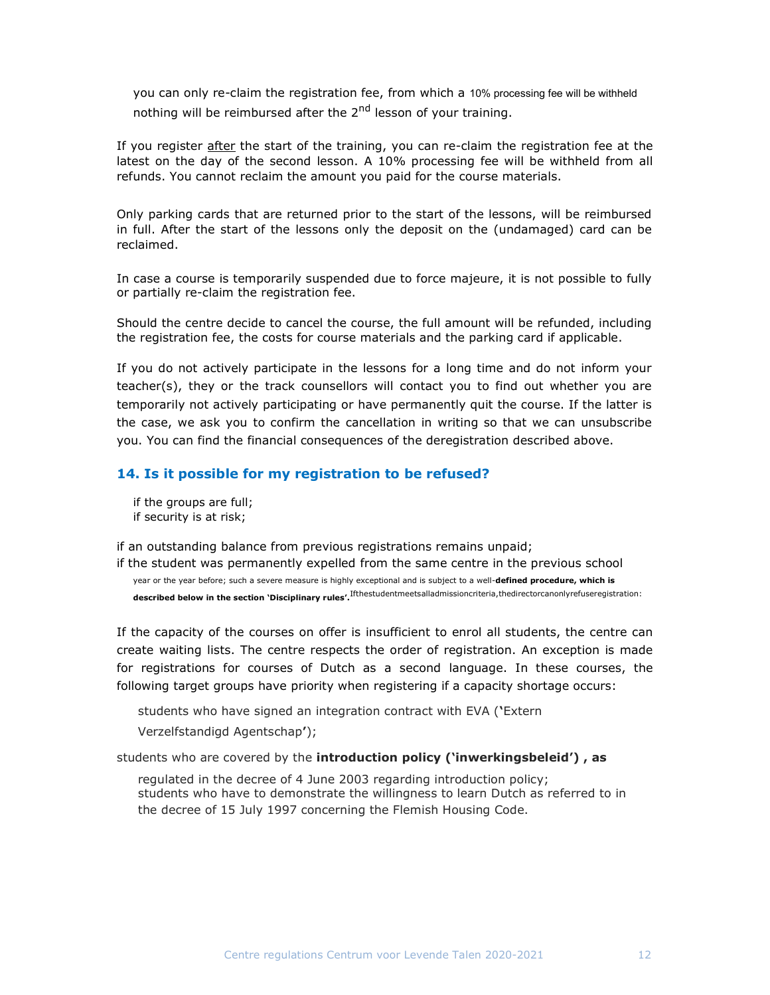you can only re-claim the registration fee, from which a 10% processing fee will be withheld nothing will be reimbursed after the 2<sup>nd</sup> lesson of your training.

If you register after the start of the training, you can re-claim the registration fee at the latest on the day of the second lesson. A 10% processing fee will be withheld from all refunds. You cannot reclaim the amount you paid for the course materials.

Only parking cards that are returned prior to the start of the lessons, will be reimbursed in full. After the start of the lessons only the deposit on the (undamaged) card can be reclaimed.

In case a course is temporarily suspended due to force majeure, it is not possible to fully or partially re-claim the registration fee.

Should the centre decide to cancel the course, the full amount will be refunded, including the registration fee, the costs for course materials and the parking card if applicable.

If you do not actively participate in the lessons for a long time and do not inform your teacher(s), they or the track counsellors will contact you to find out whether you are temporarily not actively participating or have permanently quit the course. If the latter is the case, we ask you to confirm the cancellation in writing so that we can unsubscribe you. You can find the financial consequences of the deregistration described above.

#### 14. Is it possible for my registration to be refused?

if the groups are full; if security is at risk;

if an outstanding balance from previous registrations remains unpaid;

if the student was permanently expelled from the same centre in the previous school year or the year before; such a severe measure is highly exceptional and is subject to a well-defined procedure, which is described below in the section 'Disciplinary rules'.<sup>Ifthestudentmeetsalladmissioncriteria,thedirectorcanonlyrefuseregistration:</sup>

If the capacity of the courses on offer is insufficient to enrol all students, the centre can create waiting lists. The centre respects the order of registration. An exception is made for registrations for courses of Dutch as a second language. In these courses, the following target groups have priority when registering if a capacity shortage occurs:

students who have signed an integration contract with EVA ('Extern

Verzelfstandigd Agentschap');

students who are covered by the introduction policy ('inwerkingsbeleid'), as

regulated in the decree of 4 June 2003 regarding introduction policy; students who have to demonstrate the willingness to learn Dutch as referred to in the decree of 15 July 1997 concerning the Flemish Housing Code.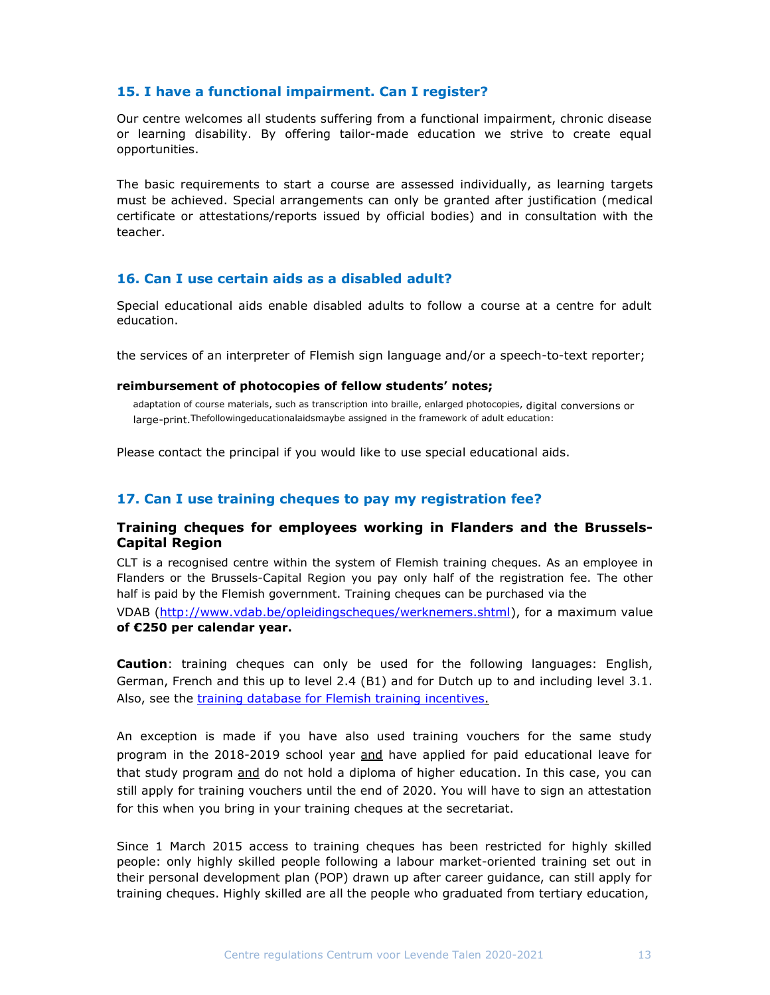## 15. I have a functional impairment. Can I register?

Our centre welcomes all students suffering from a functional impairment, chronic disease or learning disability. By offering tailor-made education we strive to create equal opportunities.

The basic requirements to start a course are assessed individually, as learning targets must be achieved. Special arrangements can only be granted after justification (medical certificate or attestations/reports issued by official bodies) and in consultation with the teacher.

## 16. Can I use certain aids as a disabled adult?

Special educational aids enable disabled adults to follow a course at a centre for adult education.

the services of an interpreter of Flemish sign language and/or a speech-to-text reporter;

#### reimbursement of photocopies of fellow students' notes;

adaptation of course materials, such as transcription into braille, enlarged photocopies, digital conversions or large-print.Thefollowingeducationalaidsmaybe assigned in the framework of adult education:

Please contact the principal if you would like to use special educational aids.

## 17. Can I use training cheques to pay my registration fee?

## Training cheques for employees working in Flanders and the Brussels-Capital Region

CLT is a recognised centre within the system of Flemish training cheques. As an employee in Flanders or the Brussels-Capital Region you pay only half of the registration fee. The other half is paid by the Flemish government. Training cheques can be purchased via the VDAB (http://www.vdab.be/opleidingscheques/werknemers.shtml), for a maximum value

of €250 per calendar year.

Caution: training cheques can only be used for the following languages: English, German, French and this up to level 2.4 (B1) and for Dutch up to and including level 3.1. Also, see the *training database for Flemish training incentives*.

An exception is made if you have also used training vouchers for the same study program in the 2018-2019 school year and have applied for paid educational leave for that study program and do not hold a diploma of higher education. In this case, you can still apply for training vouchers until the end of 2020. You will have to sign an attestation for this when you bring in your training cheques at the secretariat.

Since 1 March 2015 access to training cheques has been restricted for highly skilled people: only highly skilled people following a labour market-oriented training set out in their personal development plan (POP) drawn up after career guidance, can still apply for training cheques. Highly skilled are all the people who graduated from tertiary education,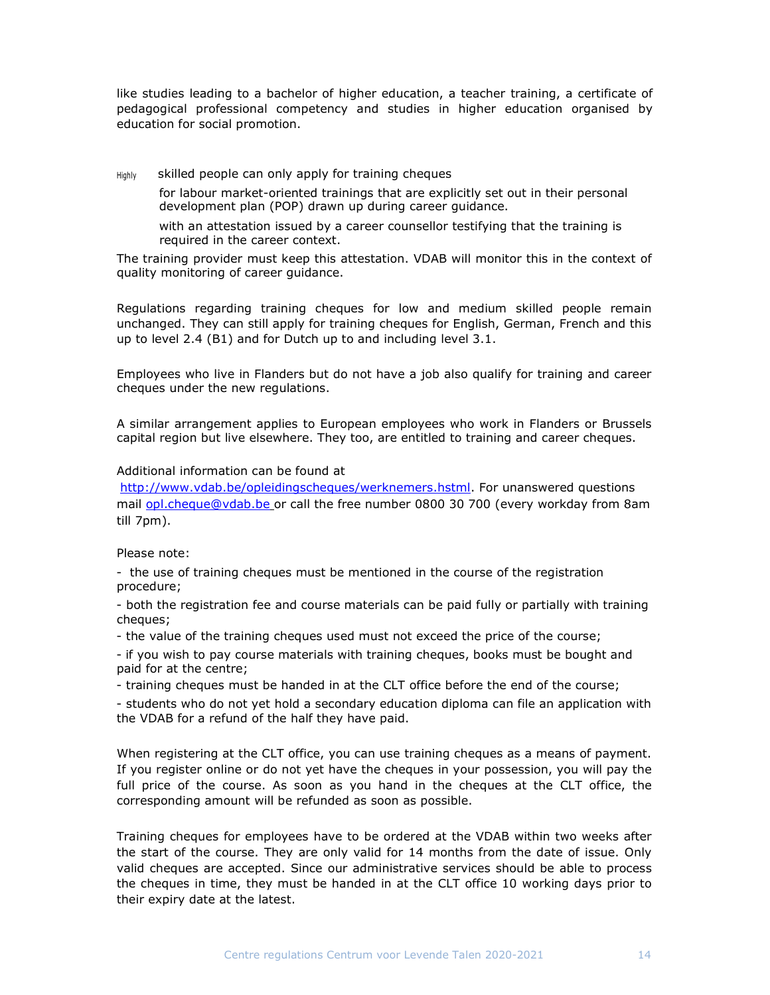like studies leading to a bachelor of higher education, a teacher training, a certificate of pedagogical professional competency and studies in higher education organised by education for social promotion.

Highly skilled people can only apply for training cheques

for labour market-oriented trainings that are explicitly set out in their personal development plan (POP) drawn up during career guidance.

with an attestation issued by a career counsellor testifying that the training is required in the career context.

The training provider must keep this attestation. VDAB will monitor this in the context of quality monitoring of career guidance.

Regulations regarding training cheques for low and medium skilled people remain unchanged. They can still apply for training cheques for English, German, French and this up to level 2.4 (B1) and for Dutch up to and including level 3.1.

Employees who live in Flanders but do not have a job also qualify for training and career cheques under the new regulations.

A similar arrangement applies to European employees who work in Flanders or Brussels capital region but live elsewhere. They too, are entitled to training and career cheques.

#### Additional information can be found at

http://www.vdab.be/opleidingscheques/werknemers.hstml. For unanswered questions mail opl.cheque@vdab.be or call the free number 0800 30 700 (every workday from 8am till 7pm).

#### Please note:

- the use of training cheques must be mentioned in the course of the registration procedure;

- both the registration fee and course materials can be paid fully or partially with training cheques;

- the value of the training cheques used must not exceed the price of the course;

- if you wish to pay course materials with training cheques, books must be bought and paid for at the centre;

- training cheques must be handed in at the CLT office before the end of the course;

- students who do not yet hold a secondary education diploma can file an application with the VDAB for a refund of the half they have paid.

When registering at the CLT office, you can use training cheques as a means of payment. If you register online or do not yet have the cheques in your possession, you will pay the full price of the course. As soon as you hand in the cheques at the CLT office, the corresponding amount will be refunded as soon as possible.

Training cheques for employees have to be ordered at the VDAB within two weeks after the start of the course. They are only valid for 14 months from the date of issue. Only valid cheques are accepted. Since our administrative services should be able to process the cheques in time, they must be handed in at the CLT office 10 working days prior to their expiry date at the latest.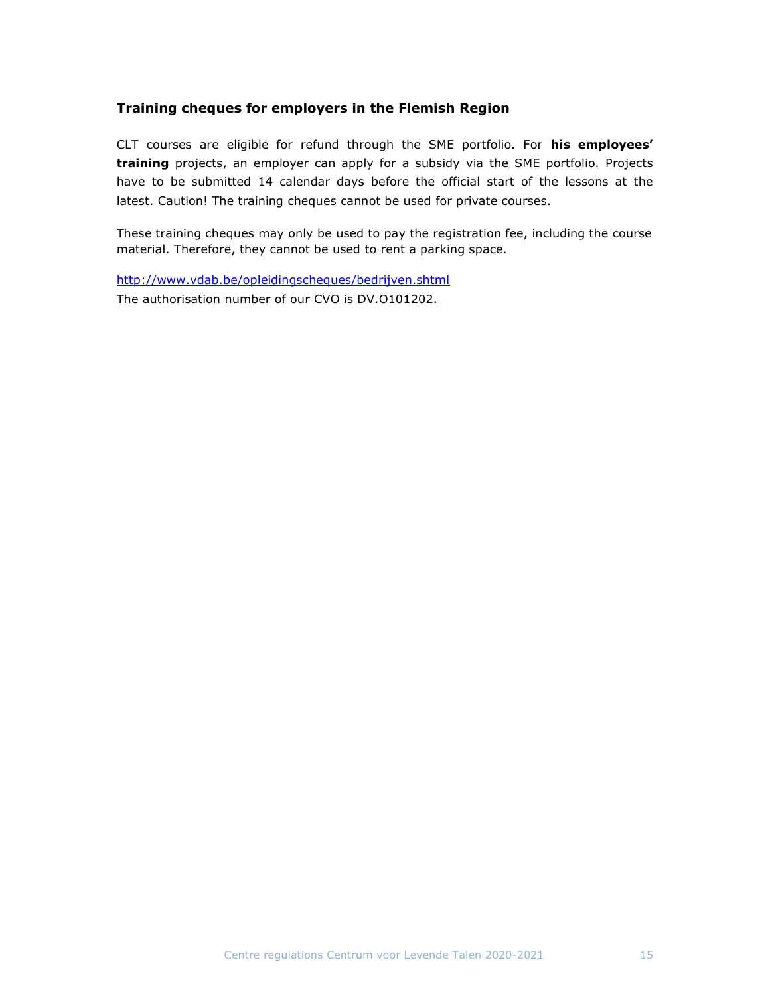## Training cheques for employers in the Flemish Region

CLT courses are eligible for refund through the SME portfolio. For his employees' training projects, an employer can apply for a subsidy via the SME portfolio. Projects have to be submitted 14 calendar days before the official start of the lessons at the latest. Caution! The training cheques cannot be used for private courses.

These training cheques may only be used to pay the registration fee, including the course material. Therefore, they cannot be used to rent a parking space.

http://www.vdab.be/opleidingscheques/bedrijven.shtml The authorisation number of our CVO is DV.O101202.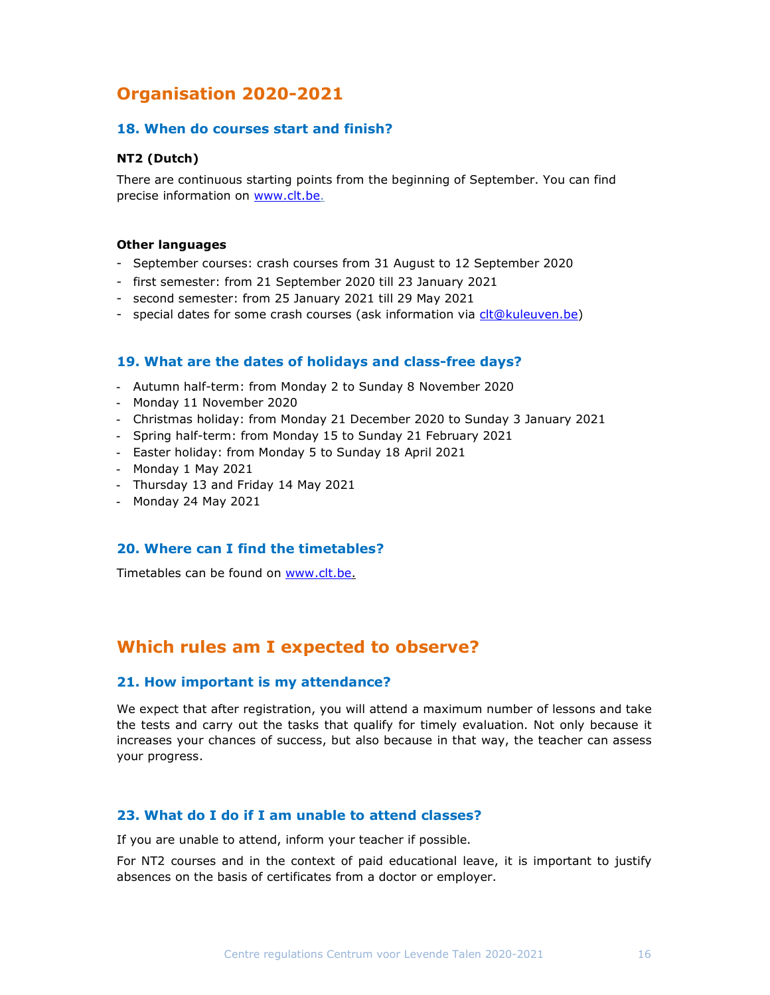# Organisation 2020-2021

## 18. When do courses start and finish?

## NT2 (Dutch)

There are continuous starting points from the beginning of September. You can find precise information on www.clt.be.

#### Other languages

- September courses: crash courses from 31 August to 12 September 2020
- first semester: from 21 September 2020 till 23 January 2021
- second semester: from 25 January 2021 till 29 May 2021
- special dates for some crash courses (ask information via clt@kuleuven.be)

## 19. What are the dates of holidays and class-free days?

- Autumn half-term: from Monday 2 to Sunday 8 November 2020
- Monday 11 November 2020
- Christmas holiday: from Monday 21 December 2020 to Sunday 3 January 2021
- Spring half-term: from Monday 15 to Sunday 21 February 2021
- Easter holiday: from Monday 5 to Sunday 18 April 2021
- Monday 1 May 2021
- Thursday 13 and Friday 14 May 2021
- Monday 24 May 2021

### 20. Where can I find the timetables?

Timetables can be found on www.clt.be.

# Which rules am I expected to observe?

#### 21. How important is my attendance?

We expect that after registration, you will attend a maximum number of lessons and take the tests and carry out the tasks that qualify for timely evaluation. Not only because it increases your chances of success, but also because in that way, the teacher can assess your progress.

## 23. What do I do if I am unable to attend classes?

If you are unable to attend, inform your teacher if possible.

For NT2 courses and in the context of paid educational leave, it is important to justify absences on the basis of certificates from a doctor or employer.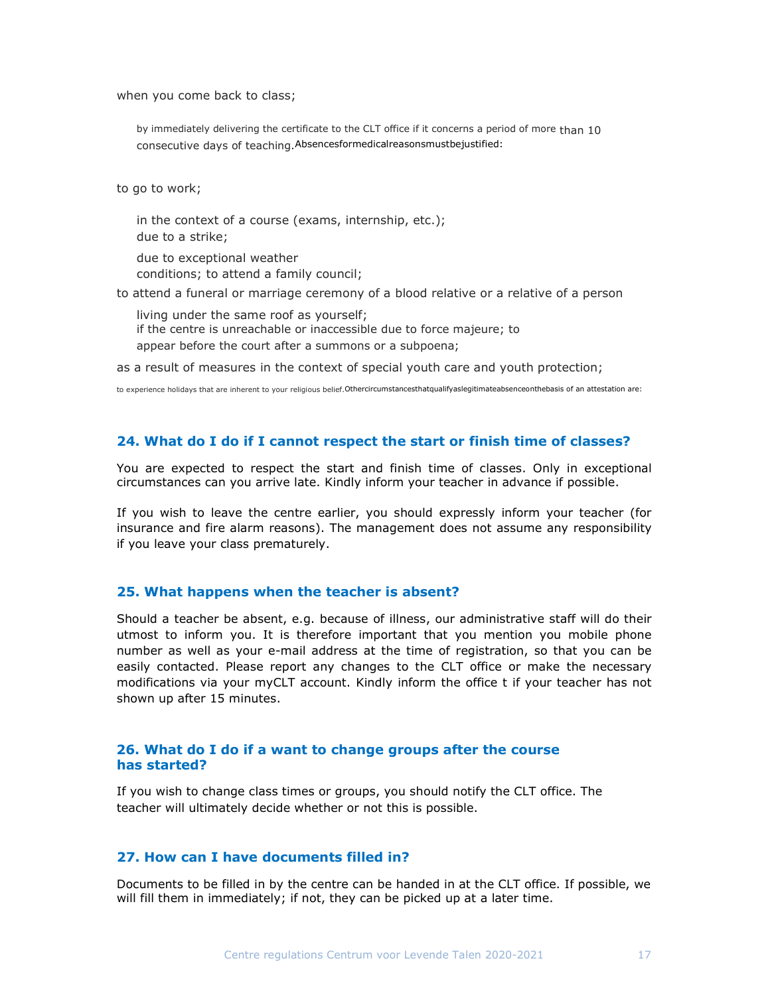when you come back to class;

by immediately delivering the certificate to the CLT office if it concerns a period of more than 10 consecutive days of teaching.Absencesformedicalreasonsmustbejustified:

to go to work;

in the context of a course (exams, internship, etc.); due to a strike;

due to exceptional weather conditions; to attend a family council;

to attend a funeral or marriage ceremony of a blood relative or a relative of a person

living under the same roof as yourself; if the centre is unreachable or inaccessible due to force majeure; to appear before the court after a summons or a subpoena;

as a result of measures in the context of special youth care and youth protection;

to experience holidays that are inherent to your religious belief.Othercircumstancesthatqualifyaslegitimateabsenceonthebasis of an attestation are:

#### 24. What do I do if I cannot respect the start or finish time of classes?

You are expected to respect the start and finish time of classes. Only in exceptional circumstances can you arrive late. Kindly inform your teacher in advance if possible.

If you wish to leave the centre earlier, you should expressly inform your teacher (for insurance and fire alarm reasons). The management does not assume any responsibility if you leave your class prematurely.

#### 25. What happens when the teacher is absent?

Should a teacher be absent, e.g. because of illness, our administrative staff will do their utmost to inform you. It is therefore important that you mention you mobile phone number as well as your e-mail address at the time of registration, so that you can be easily contacted. Please report any changes to the CLT office or make the necessary modifications via your myCLT account. Kindly inform the office t if your teacher has not shown up after 15 minutes.

## 26. What do I do if a want to change groups after the course has started?

If you wish to change class times or groups, you should notify the CLT office. The teacher will ultimately decide whether or not this is possible.

## 27. How can I have documents filled in?

Documents to be filled in by the centre can be handed in at the CLT office. If possible, we will fill them in immediately; if not, they can be picked up at a later time.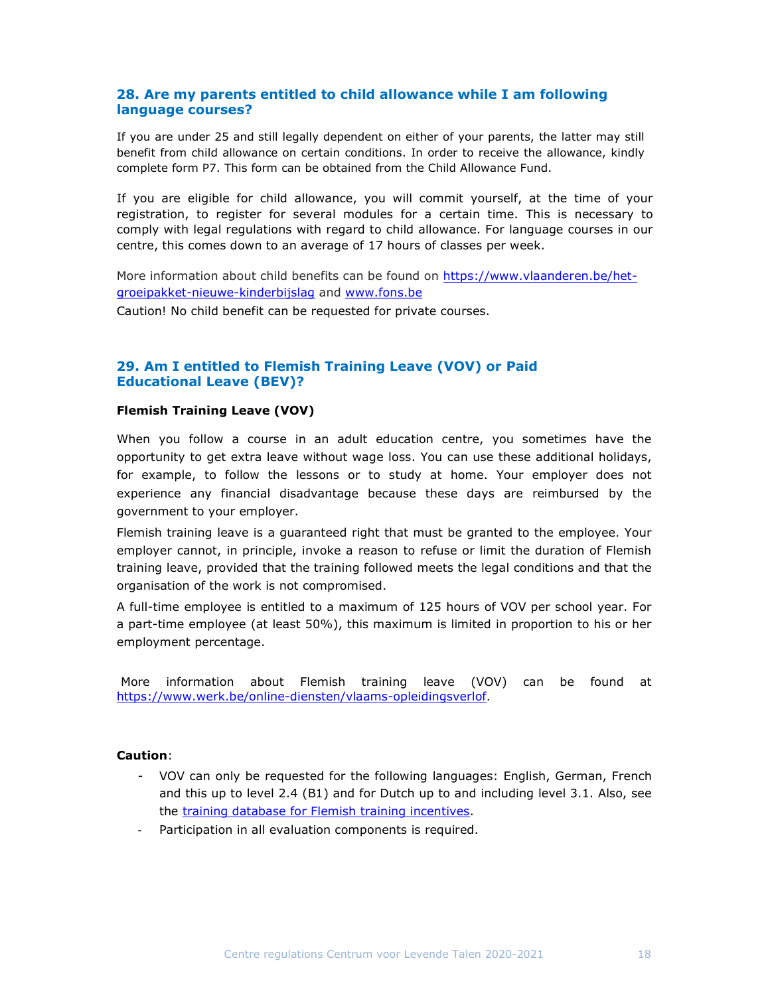## 28. Are my parents entitled to child allowance while I am following language courses?

If you are under 25 and still legally dependent on either of your parents, the latter may still benefit from child allowance on certain conditions. In order to receive the allowance, kindly complete form P7. This form can be obtained from the Child Allowance Fund.

If you are eligible for child allowance, you will commit yourself, at the time of your registration, to register for several modules for a certain time. This is necessary to comply with legal regulations with regard to child allowance. For language courses in our centre, this comes down to an average of 17 hours of classes per week.

More information about child benefits can be found on https://www.vlaanderen.be/hetgroeipakket-nieuwe-kinderbijslag and www.fons.be Caution! No child benefit can be requested for private courses.

## 29. Am I entitled to Flemish Training Leave (VOV) or Paid Educational Leave (BEV)?

#### Flemish Training Leave (VOV)

When you follow a course in an adult education centre, you sometimes have the opportunity to get extra leave without wage loss. You can use these additional holidays, for example, to follow the lessons or to study at home. Your employer does not experience any financial disadvantage because these days are reimbursed by the government to your employer.

Flemish training leave is a guaranteed right that must be granted to the employee. Your employer cannot, in principle, invoke a reason to refuse or limit the duration of Flemish training leave, provided that the training followed meets the legal conditions and that the organisation of the work is not compromised.

A full-time employee is entitled to a maximum of 125 hours of VOV per school year. For a part-time employee (at least 50%), this maximum is limited in proportion to his or her employment percentage.

More information about Flemish training leave (VOV) can be found at https://www.werk.be/online-diensten/vlaams-opleidingsverlof.

## Caution:

- VOV can only be requested for the following languages: English, German, French and this up to level 2.4 (B1) and for Dutch up to and including level 3.1. Also, see the training database for Flemish training incentives.
- Participation in all evaluation components is required.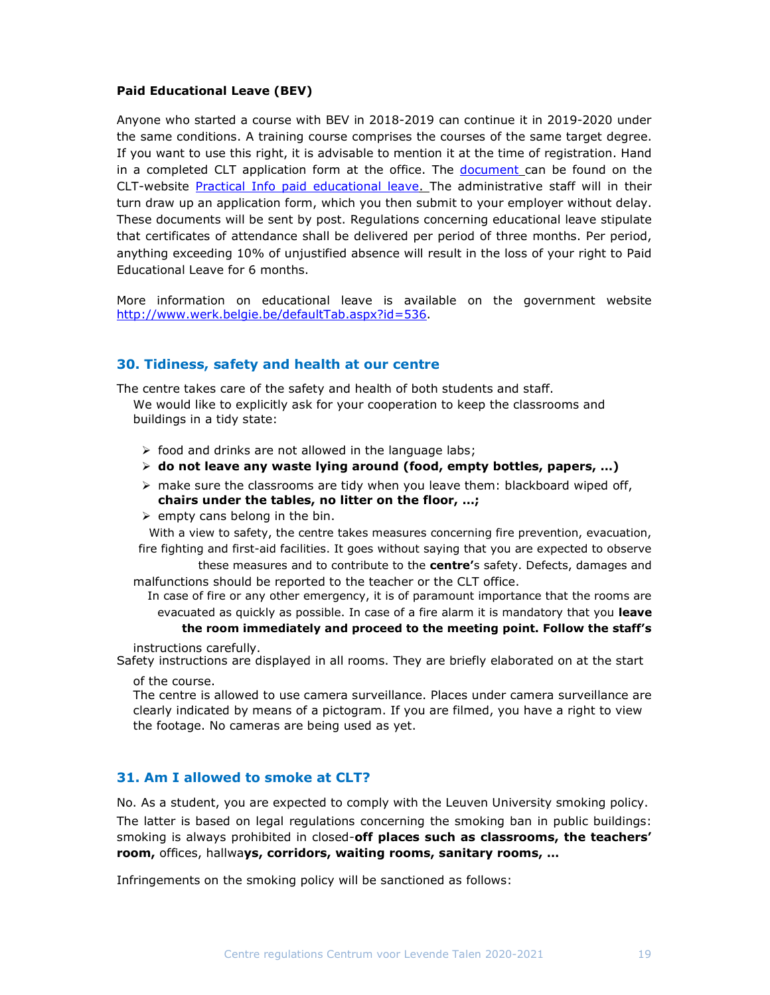### Paid Educational Leave (BEV)

Anyone who started a course with BEV in 2018-2019 can continue it in 2019-2020 under the same conditions. A training course comprises the courses of the same target degree. If you want to use this right, it is advisable to mention it at the time of registration. Hand in a completed CLT application form at the office. The document can be found on the CLT-website Practical Info paid educational leave. The administrative staff will in their turn draw up an application form, which you then submit to your employer without delay. These documents will be sent by post. Regulations concerning educational leave stipulate that certificates of attendance shall be delivered per period of three months. Per period, anything exceeding 10% of unjustified absence will result in the loss of your right to Paid Educational Leave for 6 months.

More information on educational leave is available on the government website http://www.werk.belgie.be/defaultTab.aspx?id=536.

## 30. Tidiness, safety and health at our centre

The centre takes care of the safety and health of both students and staff.

We would like to explicitly ask for your cooperation to keep the classrooms and buildings in a tidy state:

- $\triangleright$  food and drinks are not allowed in the language labs;
- $\triangleright$  do not leave any waste lying around (food, empty bottles, papers, ...)
- $\triangleright$  make sure the classrooms are tidy when you leave them: blackboard wiped off, chairs under the tables, no litter on the floor, …;
- $\triangleright$  empty cans belong in the bin.

With a view to safety, the centre takes measures concerning fire prevention, evacuation, fire fighting and first-aid facilities. It goes without saying that you are expected to observe

these measures and to contribute to the **centre'**s safety. Defects, damages and malfunctions should be reported to the teacher or the CLT office.

In case of fire or any other emergency, it is of paramount importance that the rooms are evacuated as quickly as possible. In case of a fire alarm it is mandatory that you leave

#### the room immediately and proceed to the meeting point. Follow the staff's

instructions carefully.

Safety instructions are displayed in all rooms. They are briefly elaborated on at the start

of the course.

The centre is allowed to use camera surveillance. Places under camera surveillance are clearly indicated by means of a pictogram. If you are filmed, you have a right to view the footage. No cameras are being used as yet.

## 31. Am I allowed to smoke at CLT?

No. As a student, you are expected to comply with the Leuven University smoking policy. The latter is based on legal regulations concerning the smoking ban in public buildings: smoking is always prohibited in closed-off places such as classrooms, the teachers' room, offices, hallways, corridors, waiting rooms, sanitary rooms, …

Infringements on the smoking policy will be sanctioned as follows: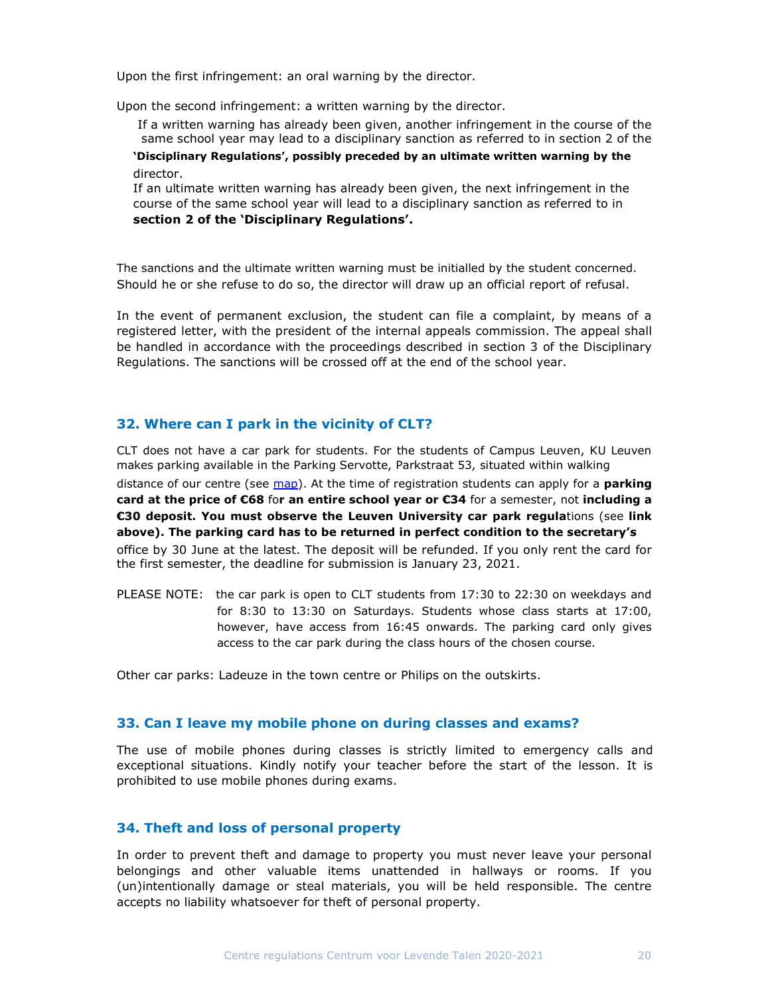Upon the first infringement: an oral warning by the director.

Upon the second infringement: a written warning by the director.

If a written warning has already been given, another infringement in the course of the same school year may lead to a disciplinary sanction as referred to in section 2 of the 'Disciplinary Regulations', possibly preceded by an ultimate written warning by the director.

If an ultimate written warning has already been given, the next infringement in the course of the same school year will lead to a disciplinary sanction as referred to in section 2 of the 'Disciplinary Regulations'.

The sanctions and the ultimate written warning must be initialled by the student concerned. Should he or she refuse to do so, the director will draw up an official report of refusal.

In the event of permanent exclusion, the student can file a complaint, by means of a registered letter, with the president of the internal appeals commission. The appeal shall be handled in accordance with the proceedings described in section 3 of the Disciplinary Regulations. The sanctions will be crossed off at the end of the school year.

#### 32. Where can I park in the vicinity of CLT?

CLT does not have a car park for students. For the students of Campus Leuven, KU Leuven makes parking available in the Parking Servotte, Parkstraat 53, situated within walking distance of our centre (see  $map$ ). At the time of registration students can apply for a **parking** card at the price of  $\epsilon$ 68 for an entire school year or  $\epsilon$ 34 for a semester, not including a €30 deposit. You must observe the Leuven University car park regulations (see link above). The parking card has to be returned in perfect condition to the secretary's office by 30 June at the latest. The deposit will be refunded. If you only rent the card for the first semester, the deadline for submission is January 23, 2021.

PLEASE NOTE: the car park is open to CLT students from 17:30 to 22:30 on weekdays and for 8:30 to 13:30 on Saturdays. Students whose class starts at 17:00, however, have access from 16:45 onwards. The parking card only gives access to the car park during the class hours of the chosen course.

Other car parks: Ladeuze in the town centre or Philips on the outskirts.

#### 33. Can I leave my mobile phone on during classes and exams?

The use of mobile phones during classes is strictly limited to emergency calls and exceptional situations. Kindly notify your teacher before the start of the lesson. It is prohibited to use mobile phones during exams.

## 34. Theft and loss of personal property

In order to prevent theft and damage to property you must never leave your personal belongings and other valuable items unattended in hallways or rooms. If you (un)intentionally damage or steal materials, you will be held responsible. The centre accepts no liability whatsoever for theft of personal property.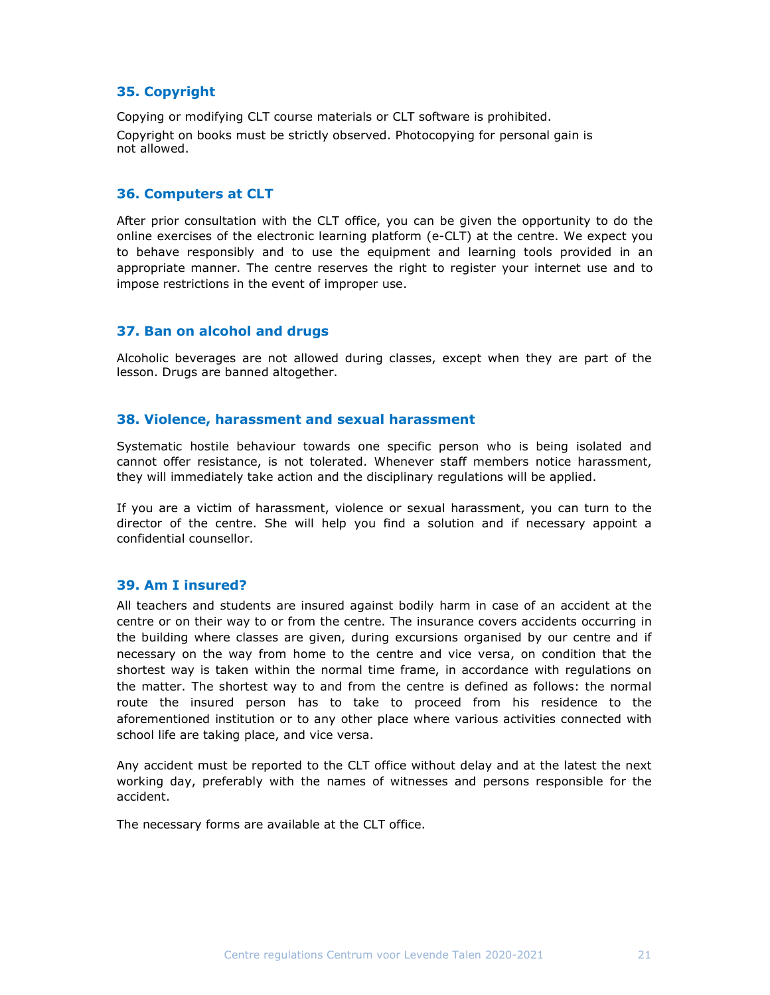## 35. Copyright

Copying or modifying CLT course materials or CLT software is prohibited. Copyright on books must be strictly observed. Photocopying for personal gain is not allowed.

## 36. Computers at CLT

After prior consultation with the CLT office, you can be given the opportunity to do the online exercises of the electronic learning platform (e-CLT) at the centre. We expect you to behave responsibly and to use the equipment and learning tools provided in an appropriate manner. The centre reserves the right to register your internet use and to impose restrictions in the event of improper use.

## 37. Ban on alcohol and drugs

Alcoholic beverages are not allowed during classes, except when they are part of the lesson. Drugs are banned altogether.

## 38. Violence, harassment and sexual harassment

Systematic hostile behaviour towards one specific person who is being isolated and cannot offer resistance, is not tolerated. Whenever staff members notice harassment, they will immediately take action and the disciplinary regulations will be applied.

If you are a victim of harassment, violence or sexual harassment, you can turn to the director of the centre. She will help you find a solution and if necessary appoint a confidential counsellor.

#### 39. Am I insured?

All teachers and students are insured against bodily harm in case of an accident at the centre or on their way to or from the centre. The insurance covers accidents occurring in the building where classes are given, during excursions organised by our centre and if necessary on the way from home to the centre and vice versa, on condition that the shortest way is taken within the normal time frame, in accordance with regulations on the matter. The shortest way to and from the centre is defined as follows: the normal route the insured person has to take to proceed from his residence to the aforementioned institution or to any other place where various activities connected with school life are taking place, and vice versa.

Any accident must be reported to the CLT office without delay and at the latest the next working day, preferably with the names of witnesses and persons responsible for the accident.

The necessary forms are available at the CLT office.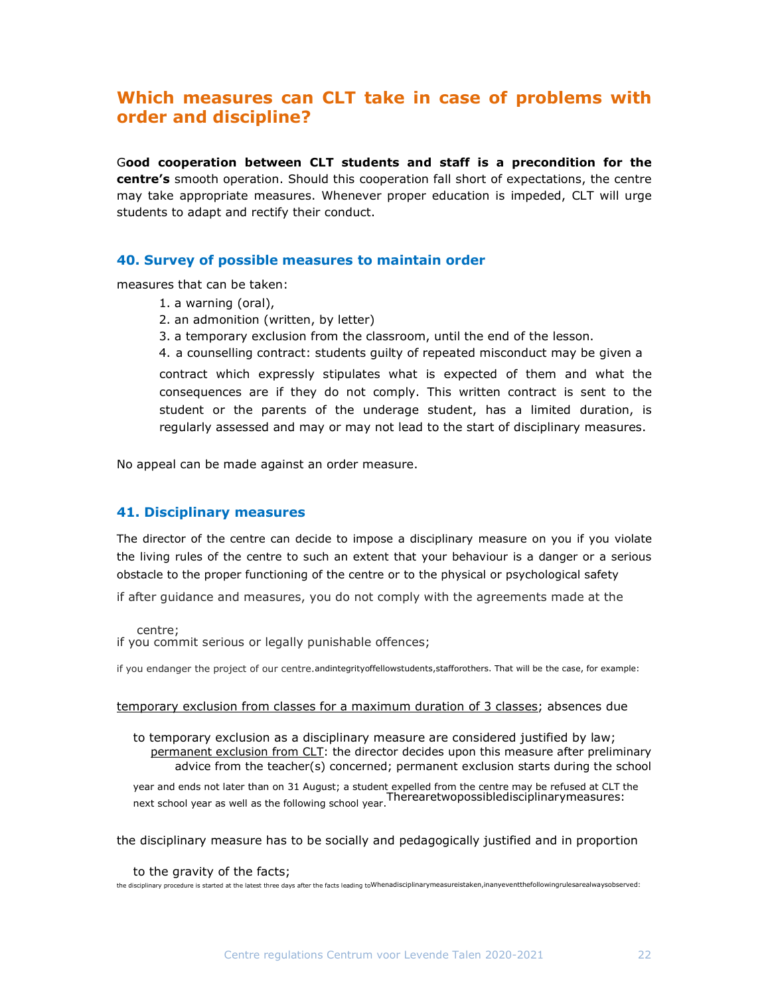# Which measures can CLT take in case of problems with order and discipline?

Good cooperation between CLT students and staff is a precondition for the centre's smooth operation. Should this cooperation fall short of expectations, the centre may take appropriate measures. Whenever proper education is impeded, CLT will urge students to adapt and rectify their conduct.

## 40. Survey of possible measures to maintain order

measures that can be taken:

- 1. a warning (oral),
- 2. an admonition (written, by letter)
- 3. a temporary exclusion from the classroom, until the end of the lesson.
- 4. a counselling contract: students guilty of repeated misconduct may be given a

contract which expressly stipulates what is expected of them and what the consequences are if they do not comply. This written contract is sent to the student or the parents of the underage student, has a limited duration, is regularly assessed and may or may not lead to the start of disciplinary measures.

No appeal can be made against an order measure.

## 41. Disciplinary measures

The director of the centre can decide to impose a disciplinary measure on you if you violate the living rules of the centre to such an extent that your behaviour is a danger or a serious obstacle to the proper functioning of the centre or to the physical or psychological safety

if after guidance and measures, you do not comply with the agreements made at the

centre;

if you commit serious or legally punishable offences;

if you endanger the project of our centre.andintegrityoffellowstudents, stafforothers. That will be the case, for example:

#### temporary exclusion from classes for a maximum duration of 3 classes; absences due

to temporary exclusion as a disciplinary measure are considered justified by law; permanent exclusion from CLT: the director decides upon this measure after preliminary advice from the teacher(s) concerned; permanent exclusion starts during the school

year and ends not later than on 31 August; a student expelled from the centre may be refused at CLT the next school year as well as the following school year. Therearetwopossibledisciplinarymeasures:<br>Therearetwopossibledisciplinarymeasures:

the disciplinary measure has to be socially and pedagogically justified and in proportion

#### to the gravity of the facts;

the disciplinary procedure is started at the latest three days after the facts leading toWhenadisciplinarymeasureistaken,inanyeventthefollowingrulesarealwaysobserved: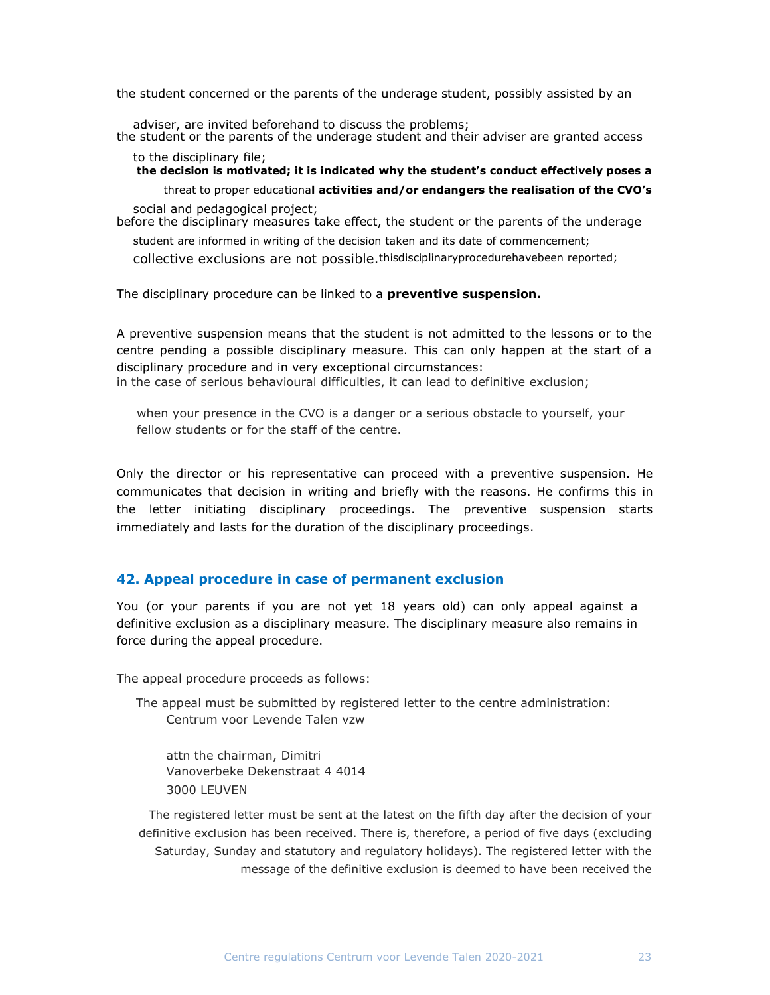the student concerned or the parents of the underage student, possibly assisted by an

adviser, are invited beforehand to discuss the problems; the student or the parents of the underage student and their adviser are granted access

to the disciplinary file;

the decision is motivated; it is indicated why the student's conduct effectively poses a

threat to proper educational activities and/or endangers the realisation of the CVO's social and pedagogical project;

before the disciplinary measures take effect, the student or the parents of the underage

student are informed in writing of the decision taken and its date of commencement;

collective exclusions are not possible.thisdisciplinaryprocedurehavebeen reported;

The disciplinary procedure can be linked to a **preventive suspension.** 

A preventive suspension means that the student is not admitted to the lessons or to the centre pending a possible disciplinary measure. This can only happen at the start of a disciplinary procedure and in very exceptional circumstances: in the case of serious behavioural difficulties, it can lead to definitive exclusion;

when your presence in the CVO is a danger or a serious obstacle to yourself, your fellow students or for the staff of the centre.

Only the director or his representative can proceed with a preventive suspension. He communicates that decision in writing and briefly with the reasons. He confirms this in the letter initiating disciplinary proceedings. The preventive suspension starts immediately and lasts for the duration of the disciplinary proceedings.

## 42. Appeal procedure in case of permanent exclusion

You (or your parents if you are not yet 18 years old) can only appeal against a definitive exclusion as a disciplinary measure. The disciplinary measure also remains in force during the appeal procedure.

The appeal procedure proceeds as follows:

The appeal must be submitted by registered letter to the centre administration: Centrum voor Levende Talen vzw

attn the chairman, Dimitri Vanoverbeke Dekenstraat 4 4014 3000 LEUVEN

The registered letter must be sent at the latest on the fifth day after the decision of your definitive exclusion has been received. There is, therefore, a period of five days (excluding Saturday, Sunday and statutory and regulatory holidays). The registered letter with the message of the definitive exclusion is deemed to have been received the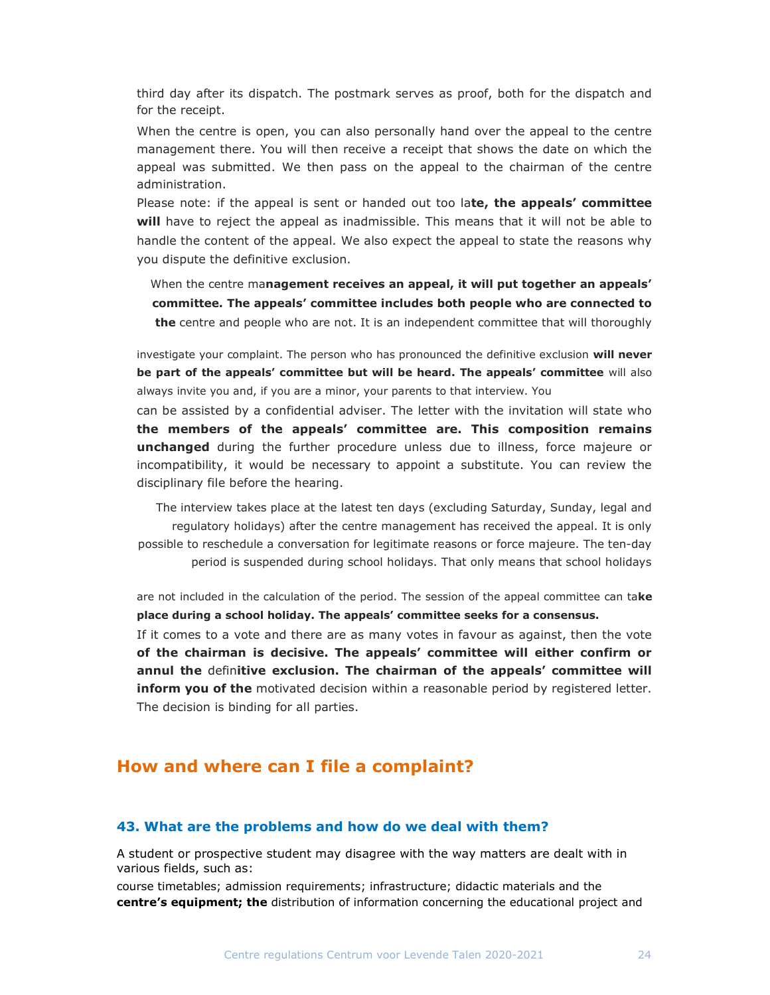third day after its dispatch. The postmark serves as proof, both for the dispatch and for the receipt.

When the centre is open, you can also personally hand over the appeal to the centre management there. You will then receive a receipt that shows the date on which the appeal was submitted. We then pass on the appeal to the chairman of the centre administration.

Please note: if the appeal is sent or handed out too late, the appeals' committee will have to reject the appeal as inadmissible. This means that it will not be able to handle the content of the appeal. We also expect the appeal to state the reasons why you dispute the definitive exclusion.

When the centre management receives an appeal, it will put together an appeals' committee. The appeals' committee includes both people who are connected to the centre and people who are not. It is an independent committee that will thoroughly

investigate your complaint. The person who has pronounced the definitive exclusion will never be part of the appeals' committee but will be heard. The appeals' committee will also always invite you and, if you are a minor, your parents to that interview. You

can be assisted by a confidential adviser. The letter with the invitation will state who the members of the appeals' committee are. This composition remains **unchanged** during the further procedure unless due to illness, force majeure or incompatibility, it would be necessary to appoint a substitute. You can review the disciplinary file before the hearing.

The interview takes place at the latest ten days (excluding Saturday, Sunday, legal and regulatory holidays) after the centre management has received the appeal. It is only possible to reschedule a conversation for legitimate reasons or force majeure. The ten-day period is suspended during school holidays. That only means that school holidays

are not included in the calculation of the period. The session of the appeal committee can take place during a school holiday. The appeals' committee seeks for a consensus.

If it comes to a vote and there are as many votes in favour as against, then the vote of the chairman is decisive. The appeals' committee will either confirm or annul the definitive exclusion. The chairman of the appeals' committee will **inform you of the** motivated decision within a reasonable period by registered letter. The decision is binding for all parties.

## How and where can I file a complaint?

#### 43. What are the problems and how do we deal with them?

A student or prospective student may disagree with the way matters are dealt with in various fields, such as:

course timetables; admission requirements; infrastructure; didactic materials and the centre's equipment; the distribution of information concerning the educational project and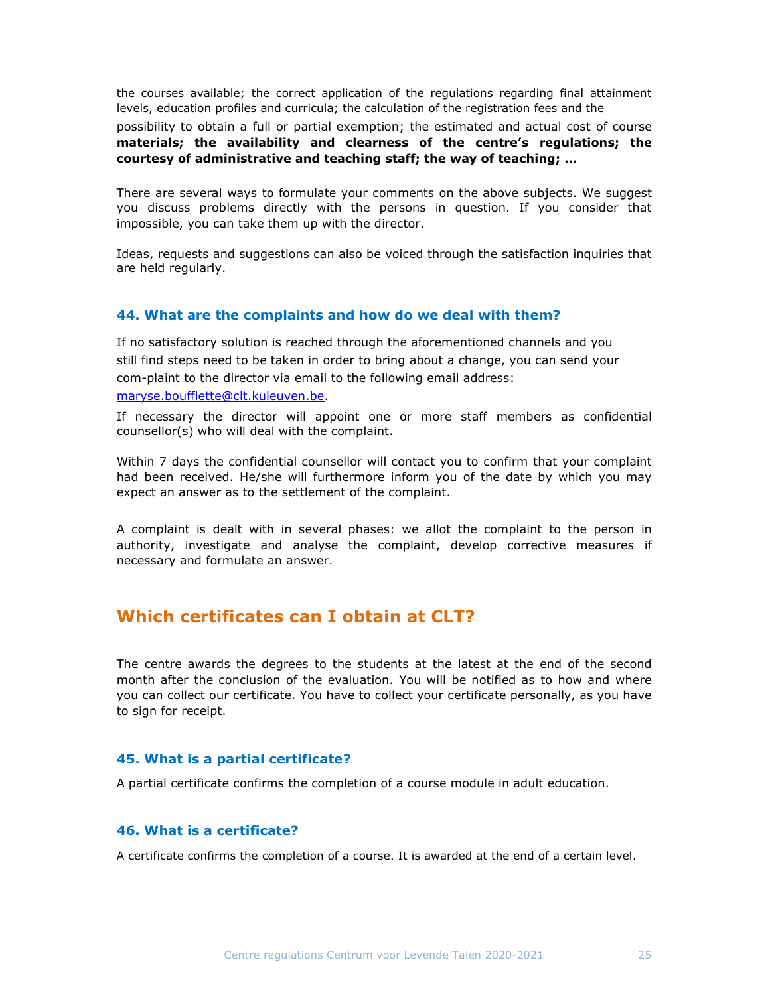the courses available; the correct application of the regulations regarding final attainment levels, education profiles and curricula; the calculation of the registration fees and the

possibility to obtain a full or partial exemption; the estimated and actual cost of course materials; the availability and clearness of the centre's regulations; the courtesy of administrative and teaching staff; the way of teaching; …

There are several ways to formulate your comments on the above subjects. We suggest you discuss problems directly with the persons in question. If you consider that impossible, you can take them up with the director.

Ideas, requests and suggestions can also be voiced through the satisfaction inquiries that are held regularly.

#### 44. What are the complaints and how do we deal with them?

If no satisfactory solution is reached through the aforementioned channels and you still find steps need to be taken in order to bring about a change, you can send your com-plaint to the director via email to the following email address: maryse.boufflette@clt.kuleuven.be.

If necessary the director will appoint one or more staff members as confidential counsellor(s) who will deal with the complaint.

Within 7 days the confidential counsellor will contact you to confirm that your complaint had been received. He/she will furthermore inform you of the date by which you may expect an answer as to the settlement of the complaint.

A complaint is dealt with in several phases: we allot the complaint to the person in authority, investigate and analyse the complaint, develop corrective measures if necessary and formulate an answer.

# Which certificates can I obtain at CLT?

The centre awards the degrees to the students at the latest at the end of the second month after the conclusion of the evaluation. You will be notified as to how and where you can collect our certificate. You have to collect your certificate personally, as you have to sign for receipt.

#### 45. What is a partial certificate?

A partial certificate confirms the completion of a course module in adult education.

## 46. What is a certificate?

A certificate confirms the completion of a course. It is awarded at the end of a certain level.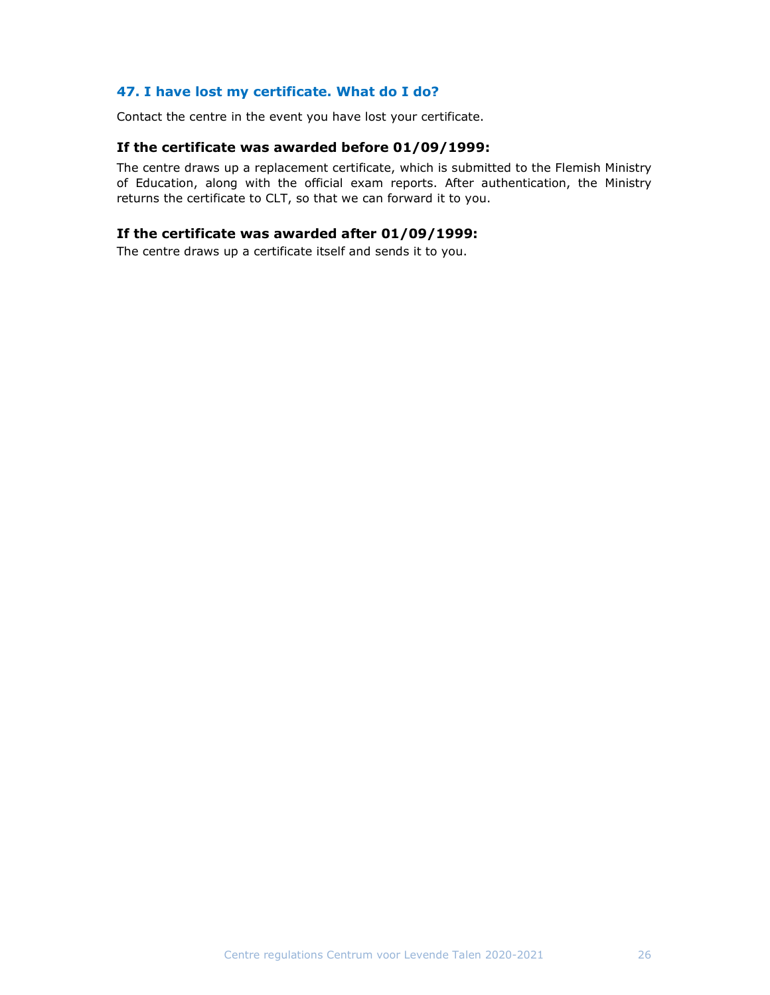## 47. I have lost my certificate. What do I do?

Contact the centre in the event you have lost your certificate.

## If the certificate was awarded before 01/09/1999:

The centre draws up a replacement certificate, which is submitted to the Flemish Ministry of Education, along with the official exam reports. After authentication, the Ministry returns the certificate to CLT, so that we can forward it to you.

## If the certificate was awarded after 01/09/1999:

The centre draws up a certificate itself and sends it to you.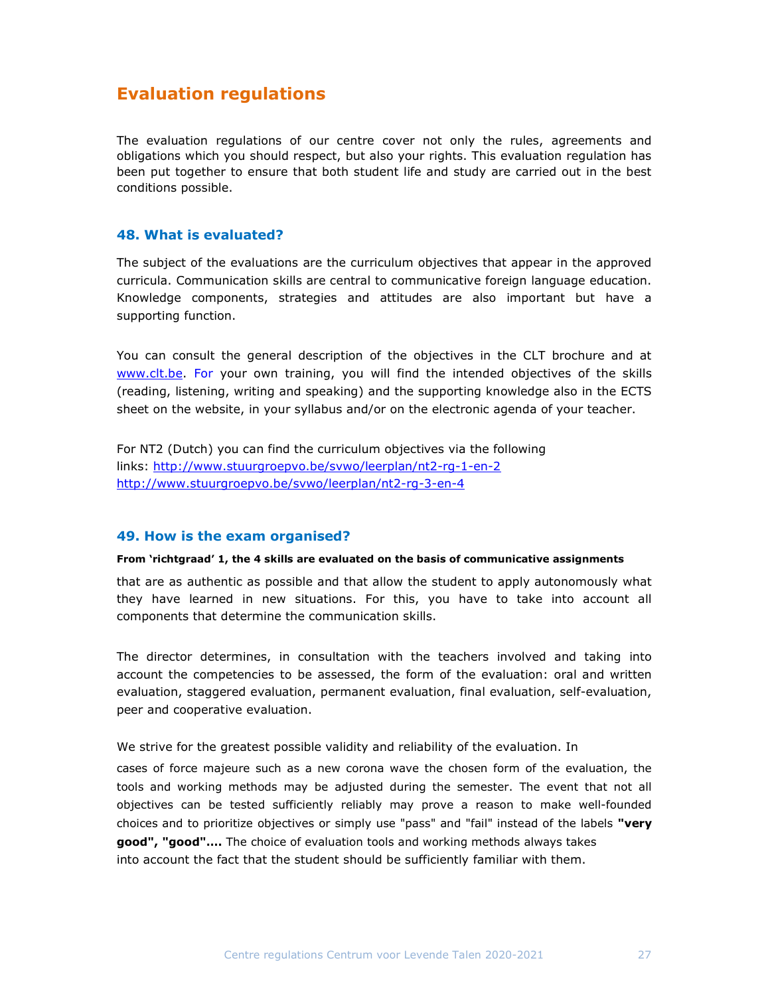# Evaluation regulations

The evaluation regulations of our centre cover not only the rules, agreements and obligations which you should respect, but also your rights. This evaluation regulation has been put together to ensure that both student life and study are carried out in the best conditions possible.

## 48. What is evaluated?

The subject of the evaluations are the curriculum objectives that appear in the approved curricula. Communication skills are central to communicative foreign language education. Knowledge components, strategies and attitudes are also important but have a supporting function.

You can consult the general description of the objectives in the CLT brochure and at www.clt.be. For your own training, you will find the intended objectives of the skills (reading, listening, writing and speaking) and the supporting knowledge also in the ECTS sheet on the website, in your syllabus and/or on the electronic agenda of your teacher.

For NT2 (Dutch) you can find the curriculum objectives via the following links: http://www.stuurgroepvo.be/svwo/leerplan/nt2-rg-1-en-2 http://www.stuurgroepvo.be/svwo/leerplan/nt2-rg-3-en-4

#### 49. How is the exam organised?

#### From 'richtgraad' 1, the 4 skills are evaluated on the basis of communicative assignments

that are as authentic as possible and that allow the student to apply autonomously what they have learned in new situations. For this, you have to take into account all components that determine the communication skills.

The director determines, in consultation with the teachers involved and taking into account the competencies to be assessed, the form of the evaluation: oral and written evaluation, staggered evaluation, permanent evaluation, final evaluation, self-evaluation, peer and cooperative evaluation.

We strive for the greatest possible validity and reliability of the evaluation. In

cases of force majeure such as a new corona wave the chosen form of the evaluation, the tools and working methods may be adjusted during the semester. The event that not all objectives can be tested sufficiently reliably may prove a reason to make well-founded choices and to prioritize objectives or simply use "pass" and "fail" instead of the labels "very good", "good"…. The choice of evaluation tools and working methods always takes into account the fact that the student should be sufficiently familiar with them.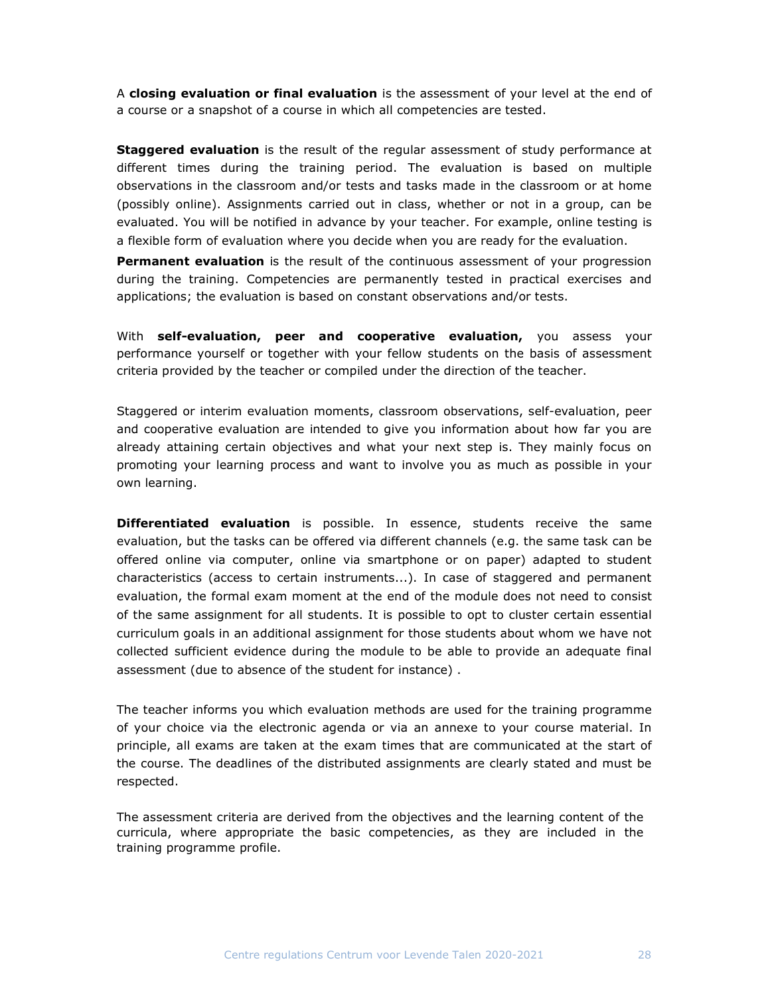A closing evaluation or final evaluation is the assessment of your level at the end of a course or a snapshot of a course in which all competencies are tested.

**Staggered evaluation** is the result of the regular assessment of study performance at different times during the training period. The evaluation is based on multiple observations in the classroom and/or tests and tasks made in the classroom or at home (possibly online). Assignments carried out in class, whether or not in a group, can be evaluated. You will be notified in advance by your teacher. For example, online testing is a flexible form of evaluation where you decide when you are ready for the evaluation.

**Permanent evaluation** is the result of the continuous assessment of your progression during the training. Competencies are permanently tested in practical exercises and applications; the evaluation is based on constant observations and/or tests.

With self-evaluation, peer and cooperative evaluation, you assess your performance yourself or together with your fellow students on the basis of assessment criteria provided by the teacher or compiled under the direction of the teacher.

Staggered or interim evaluation moments, classroom observations, self-evaluation, peer and cooperative evaluation are intended to give you information about how far you are already attaining certain objectives and what your next step is. They mainly focus on promoting your learning process and want to involve you as much as possible in your own learning.

**Differentiated evaluation** is possible. In essence, students receive the same evaluation, but the tasks can be offered via different channels (e.g. the same task can be offered online via computer, online via smartphone or on paper) adapted to student characteristics (access to certain instruments...). In case of staggered and permanent evaluation, the formal exam moment at the end of the module does not need to consist of the same assignment for all students. It is possible to opt to cluster certain essential curriculum goals in an additional assignment for those students about whom we have not collected sufficient evidence during the module to be able to provide an adequate final assessment (due to absence of the student for instance) .

The teacher informs you which evaluation methods are used for the training programme of your choice via the electronic agenda or via an annexe to your course material. In principle, all exams are taken at the exam times that are communicated at the start of the course. The deadlines of the distributed assignments are clearly stated and must be respected.

The assessment criteria are derived from the objectives and the learning content of the curricula, where appropriate the basic competencies, as they are included in the training programme profile.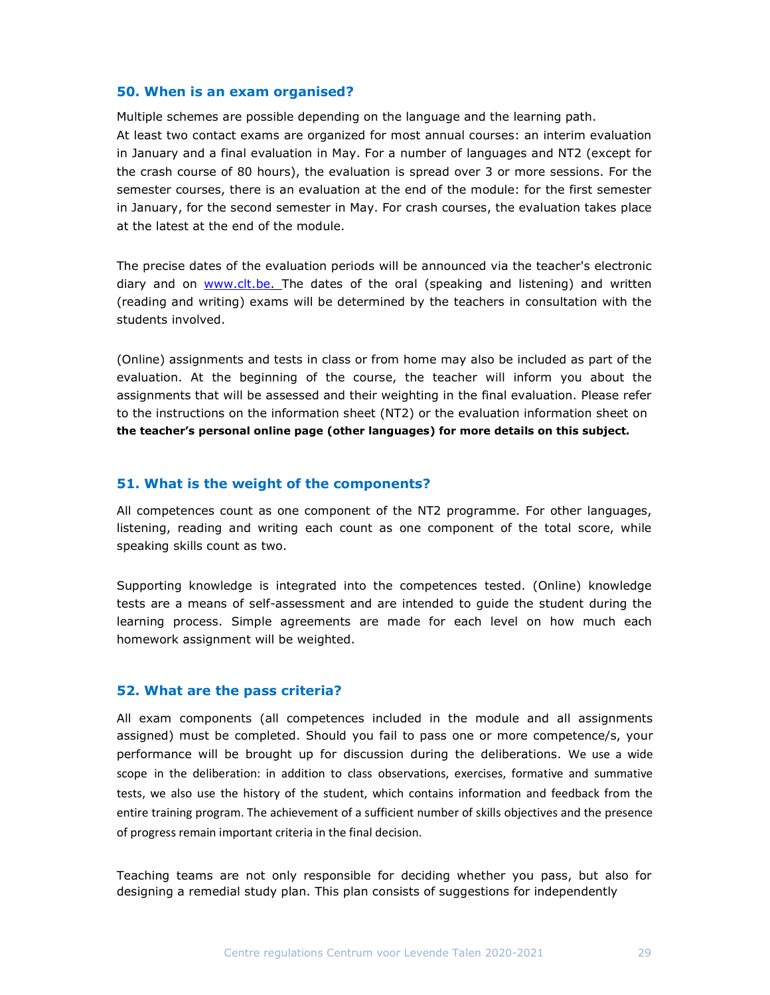#### 50. When is an exam organised?

Multiple schemes are possible depending on the language and the learning path. At least two contact exams are organized for most annual courses: an interim evaluation in January and a final evaluation in May. For a number of languages and NT2 (except for the crash course of 80 hours), the evaluation is spread over 3 or more sessions. For the semester courses, there is an evaluation at the end of the module: for the first semester in January, for the second semester in May. For crash courses, the evaluation takes place at the latest at the end of the module.

The precise dates of the evaluation periods will be announced via the teacher's electronic diary and on www.clt.be. The dates of the oral (speaking and listening) and written (reading and writing) exams will be determined by the teachers in consultation with the students involved.

(Online) assignments and tests in class or from home may also be included as part of the evaluation. At the beginning of the course, the teacher will inform you about the assignments that will be assessed and their weighting in the final evaluation. Please refer to the instructions on the information sheet (NT2) or the evaluation information sheet on the teacher's personal online page (other languages) for more details on this subject.

#### 51. What is the weight of the components?

All competences count as one component of the NT2 programme. For other languages, listening, reading and writing each count as one component of the total score, while speaking skills count as two.

Supporting knowledge is integrated into the competences tested. (Online) knowledge tests are a means of self-assessment and are intended to guide the student during the learning process. Simple agreements are made for each level on how much each homework assignment will be weighted.

#### 52. What are the pass criteria?

All exam components (all competences included in the module and all assignments assigned) must be completed. Should you fail to pass one or more competence/s, your performance will be brought up for discussion during the deliberations. We use a wide scope in the deliberation: in addition to class observations, exercises, formative and summative tests, we also use the history of the student, which contains information and feedback from the entire training program. The achievement of a sufficient number of skills objectives and the presence of progress remain important criteria in the final decision.

Teaching teams are not only responsible for deciding whether you pass, but also for designing a remedial study plan. This plan consists of suggestions for independently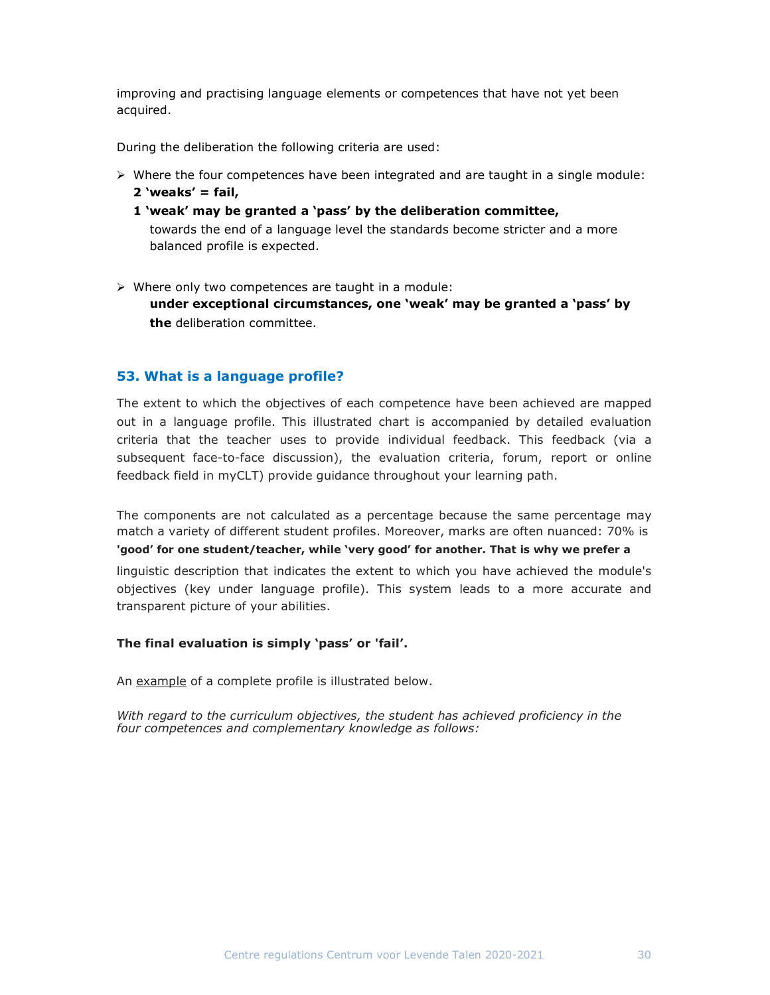improving and practising language elements or competences that have not yet been acquired.

During the deliberation the following criteria are used:

- $\triangleright$  Where the four competences have been integrated and are taught in a single module: 2 'weaks' =  $fail,$ 
	- 1 'weak' may be granted a 'pass' by the deliberation committee, towards the end of a language level the standards become stricter and a more balanced profile is expected.
- $\triangleright$  Where only two competences are taught in a module:

under exceptional circumstances, one 'weak' may be granted a 'pass' by the deliberation committee.

## 53. What is a language profile?

The extent to which the objectives of each competence have been achieved are mapped out in a language profile. This illustrated chart is accompanied by detailed evaluation criteria that the teacher uses to provide individual feedback. This feedback (via a subsequent face-to-face discussion), the evaluation criteria, forum, report or online feedback field in myCLT) provide guidance throughout your learning path.

The components are not calculated as a percentage because the same percentage may match a variety of different student profiles. Moreover, marks are often nuanced: 70% is 'good' for one student/teacher, while 'very good' for another. That is why we prefer a

linguistic description that indicates the extent to which you have achieved the module's objectives (key under language profile). This system leads to a more accurate and transparent picture of your abilities.

#### The final evaluation is simply 'pass' or 'fail'.

An example of a complete profile is illustrated below.

With regard to the curriculum objectives, the student has achieved proficiency in the four competences and complementary knowledge as follows: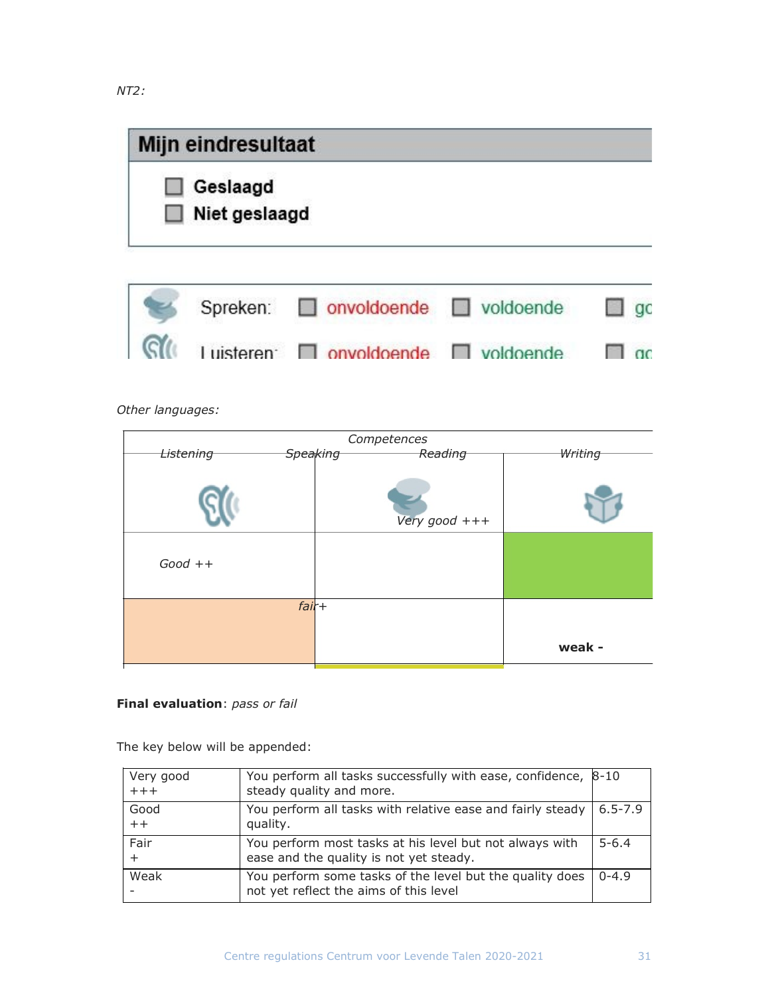| Mijn eindresultaat |  |
|--------------------|--|
| Geslaagd           |  |
| Niet geslaagd      |  |



Other languages:

| Competences      |                                |         |
|------------------|--------------------------------|---------|
| <b>Listening</b> | <del>Speaking</del><br>Reading | Writing |
|                  | Very good $+++$                |         |
| $Good++$         |                                |         |
|                  | $fair+$                        |         |
|                  |                                | weak -  |

## Final evaluation: pass or fail

The key below will be appended:

| Very good<br>$+++$ | You perform all tasks successfully with ease, confidence,<br>steady quality and more.              | 8-10        |
|--------------------|----------------------------------------------------------------------------------------------------|-------------|
| Good<br>$++$       | You perform all tasks with relative ease and fairly steady<br>quality.                             | $6.5 - 7.9$ |
| Fair<br>$+$        | You perform most tasks at his level but not always with<br>ease and the quality is not yet steady. | $5 - 6.4$   |
| Weak               | You perform some tasks of the level but the quality does<br>not yet reflect the aims of this level | $0 - 4.9$   |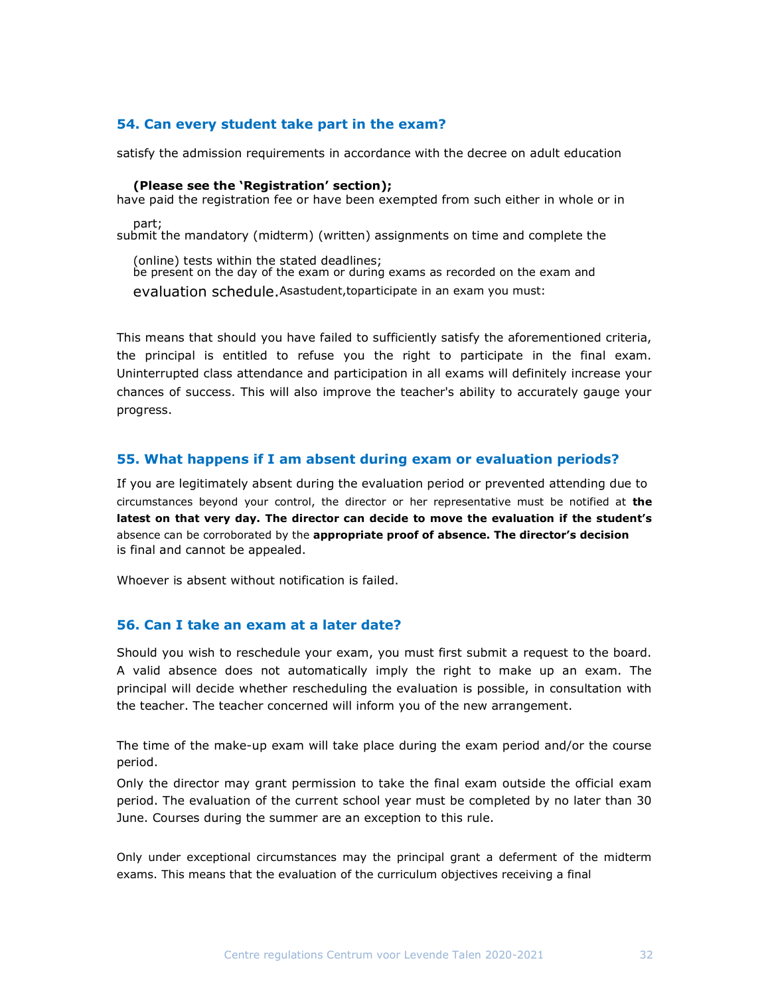## 54. Can every student take part in the exam?

satisfy the admission requirements in accordance with the decree on adult education

#### (Please see the 'Registration' section);

have paid the registration fee or have been exempted from such either in whole or in part;

submit the mandatory (midterm) (written) assignments on time and complete the

(online) tests within the stated deadlines; be present on the day of the exam or during exams as recorded on the exam and evaluation schedule.Asastudent,toparticipate in an exam you must:

This means that should you have failed to sufficiently satisfy the aforementioned criteria, the principal is entitled to refuse you the right to participate in the final exam. Uninterrupted class attendance and participation in all exams will definitely increase your chances of success. This will also improve the teacher's ability to accurately gauge your progress.

## 55. What happens if I am absent during exam or evaluation periods?

If you are legitimately absent during the evaluation period or prevented attending due to circumstances beyond your control, the director or her representative must be notified at the latest on that very day. The director can decide to move the evaluation if the student's absence can be corroborated by the appropriate proof of absence. The director's decision is final and cannot be appealed.

Whoever is absent without notification is failed.

## 56. Can I take an exam at a later date?

Should you wish to reschedule your exam, you must first submit a request to the board. A valid absence does not automatically imply the right to make up an exam. The principal will decide whether rescheduling the evaluation is possible, in consultation with the teacher. The teacher concerned will inform you of the new arrangement.

The time of the make-up exam will take place during the exam period and/or the course period.

Only the director may grant permission to take the final exam outside the official exam period. The evaluation of the current school year must be completed by no later than 30 June. Courses during the summer are an exception to this rule.

Only under exceptional circumstances may the principal grant a deferment of the midterm exams. This means that the evaluation of the curriculum objectives receiving a final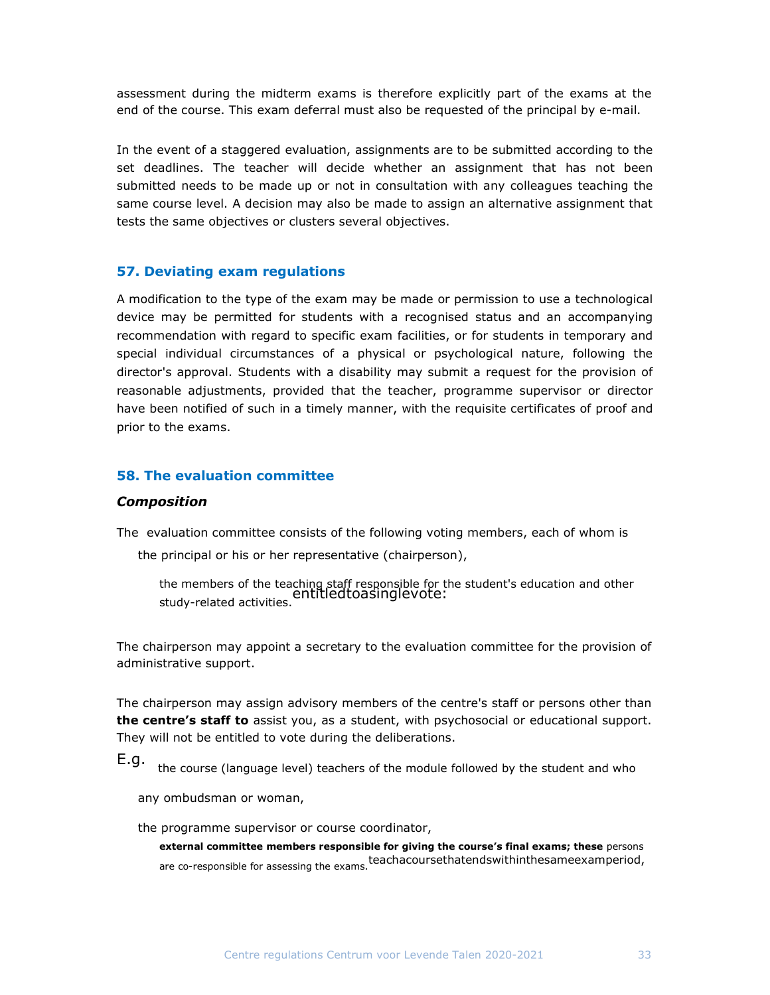assessment during the midterm exams is therefore explicitly part of the exams at the end of the course. This exam deferral must also be requested of the principal by e-mail.

In the event of a staggered evaluation, assignments are to be submitted according to the set deadlines. The teacher will decide whether an assignment that has not been submitted needs to be made up or not in consultation with any colleagues teaching the same course level. A decision may also be made to assign an alternative assignment that tests the same objectives or clusters several objectives.

#### 57. Deviating exam regulations

A modification to the type of the exam may be made or permission to use a technological device may be permitted for students with a recognised status and an accompanying recommendation with regard to specific exam facilities, or for students in temporary and special individual circumstances of a physical or psychological nature, following the director's approval. Students with a disability may submit a request for the provision of reasonable adjustments, provided that the teacher, programme supervisor or director have been notified of such in a timely manner, with the requisite certificates of proof and prior to the exams.

## 58. The evaluation committee

#### Composition

The evaluation committee consists of the following voting members, each of whom is

the principal or his or her representative (chairperson),

the members of the teaching staff responsible for the student's education and other<br>entitledtoasinglevote:<br>study-related activities.

The chairperson may appoint a secretary to the evaluation committee for the provision of administrative support.

The chairperson may assign advisory members of the centre's staff or persons other than the centre's staff to assist you, as a student, with psychosocial or educational support. They will not be entitled to vote during the deliberations.

E.g. the course (language level) teachers of the module followed by the student and who

any ombudsman or woman,

the programme supervisor or course coordinator,

external committee members responsible for giving the course's final exams; these persons are co-responsible for assessing the exams.teachacoursethatendswithinthesameexamperiod,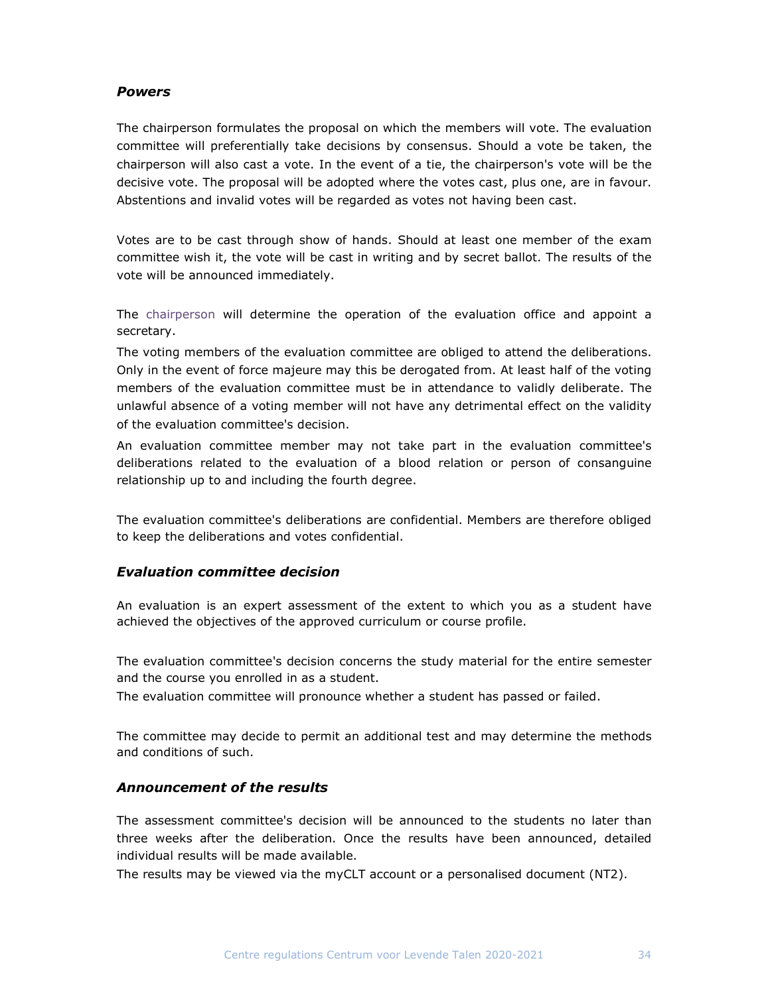## **Powers**

The chairperson formulates the proposal on which the members will vote. The evaluation committee will preferentially take decisions by consensus. Should a vote be taken, the chairperson will also cast a vote. In the event of a tie, the chairperson's vote will be the decisive vote. The proposal will be adopted where the votes cast, plus one, are in favour. Abstentions and invalid votes will be regarded as votes not having been cast.

Votes are to be cast through show of hands. Should at least one member of the exam committee wish it, the vote will be cast in writing and by secret ballot. The results of the vote will be announced immediately.

The chairperson will determine the operation of the evaluation office and appoint a secretary.

The voting members of the evaluation committee are obliged to attend the deliberations. Only in the event of force majeure may this be derogated from. At least half of the voting members of the evaluation committee must be in attendance to validly deliberate. The unlawful absence of a voting member will not have any detrimental effect on the validity of the evaluation committee's decision.

An evaluation committee member may not take part in the evaluation committee's deliberations related to the evaluation of a blood relation or person of consanguine relationship up to and including the fourth degree.

The evaluation committee's deliberations are confidential. Members are therefore obliged to keep the deliberations and votes confidential.

## Evaluation committee decision

An evaluation is an expert assessment of the extent to which you as a student have achieved the objectives of the approved curriculum or course profile.

The evaluation committee's decision concerns the study material for the entire semester and the course you enrolled in as a student.

The evaluation committee will pronounce whether a student has passed or failed.

The committee may decide to permit an additional test and may determine the methods and conditions of such.

## Announcement of the results

The assessment committee's decision will be announced to the students no later than three weeks after the deliberation. Once the results have been announced, detailed individual results will be made available.

The results may be viewed via the myCLT account or a personalised document (NT2).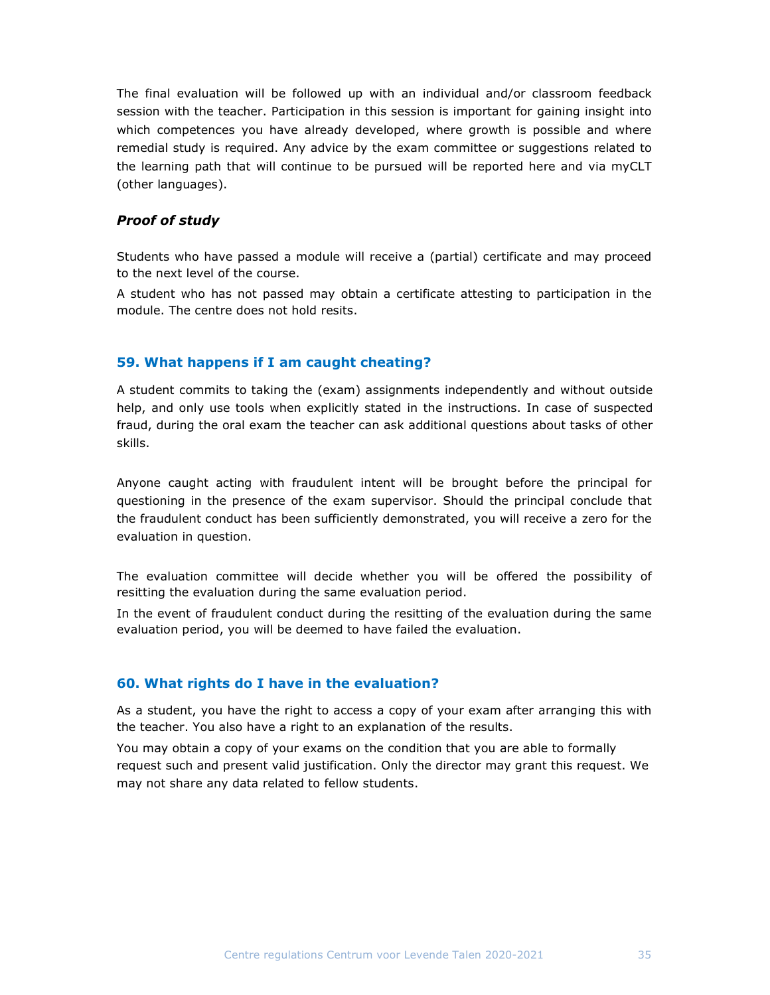The final evaluation will be followed up with an individual and/or classroom feedback session with the teacher. Participation in this session is important for gaining insight into which competences you have already developed, where growth is possible and where remedial study is required. Any advice by the exam committee or suggestions related to the learning path that will continue to be pursued will be reported here and via myCLT (other languages).

## Proof of study

Students who have passed a module will receive a (partial) certificate and may proceed to the next level of the course.

A student who has not passed may obtain a certificate attesting to participation in the module. The centre does not hold resits.

## 59. What happens if I am caught cheating?

A student commits to taking the (exam) assignments independently and without outside help, and only use tools when explicitly stated in the instructions. In case of suspected fraud, during the oral exam the teacher can ask additional questions about tasks of other skills.

Anyone caught acting with fraudulent intent will be brought before the principal for questioning in the presence of the exam supervisor. Should the principal conclude that the fraudulent conduct has been sufficiently demonstrated, you will receive a zero for the evaluation in question.

The evaluation committee will decide whether you will be offered the possibility of resitting the evaluation during the same evaluation period.

In the event of fraudulent conduct during the resitting of the evaluation during the same evaluation period, you will be deemed to have failed the evaluation.

#### 60. What rights do I have in the evaluation?

As a student, you have the right to access a copy of your exam after arranging this with the teacher. You also have a right to an explanation of the results.

You may obtain a copy of your exams on the condition that you are able to formally request such and present valid justification. Only the director may grant this request. We may not share any data related to fellow students.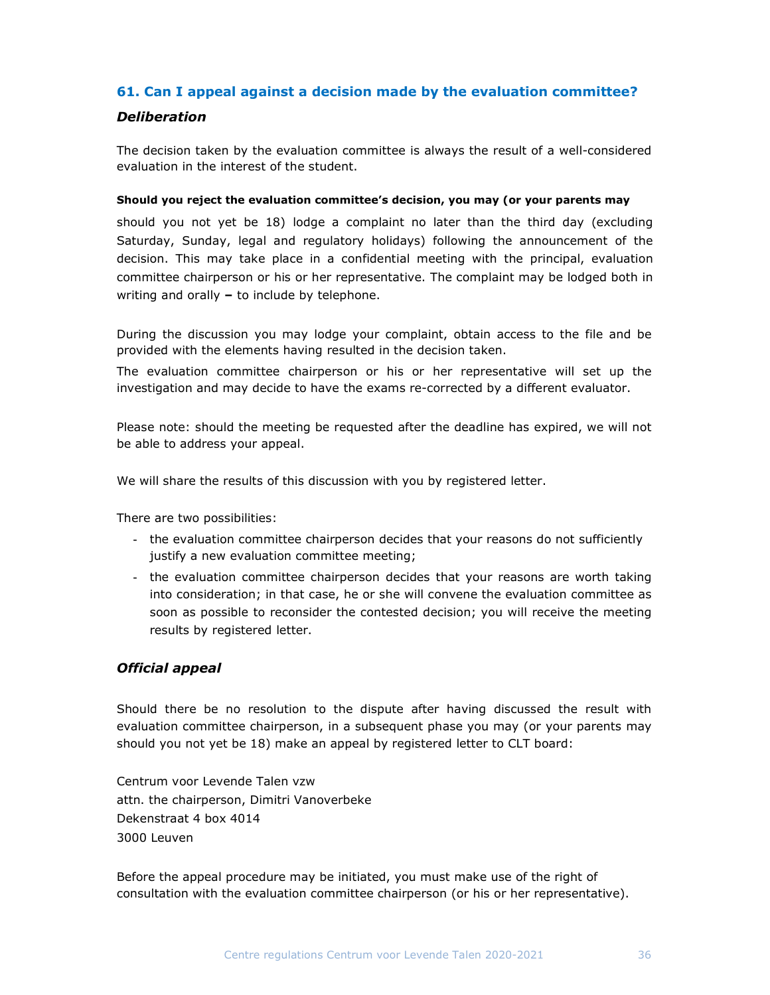## 61. Can I appeal against a decision made by the evaluation committee?

## **Deliberation**

The decision taken by the evaluation committee is always the result of a well-considered evaluation in the interest of the student.

#### Should you reject the evaluation committee's decision, you may (or your parents may

should you not yet be 18) lodge a complaint no later than the third day (excluding Saturday, Sunday, legal and regulatory holidays) following the announcement of the decision. This may take place in a confidential meeting with the principal, evaluation committee chairperson or his or her representative. The complaint may be lodged both in writing and orally  $-$  to include by telephone.

During the discussion you may lodge your complaint, obtain access to the file and be provided with the elements having resulted in the decision taken.

The evaluation committee chairperson or his or her representative will set up the investigation and may decide to have the exams re-corrected by a different evaluator.

Please note: should the meeting be requested after the deadline has expired, we will not be able to address your appeal.

We will share the results of this discussion with you by registered letter.

There are two possibilities:

- the evaluation committee chairperson decides that your reasons do not sufficiently justify a new evaluation committee meeting;
- the evaluation committee chairperson decides that your reasons are worth taking into consideration; in that case, he or she will convene the evaluation committee as soon as possible to reconsider the contested decision; you will receive the meeting results by registered letter.

## Official appeal

Should there be no resolution to the dispute after having discussed the result with evaluation committee chairperson, in a subsequent phase you may (or your parents may should you not yet be 18) make an appeal by registered letter to CLT board:

Centrum voor Levende Talen vzw attn. the chairperson, Dimitri Vanoverbeke Dekenstraat 4 box 4014 3000 Leuven

Before the appeal procedure may be initiated, you must make use of the right of consultation with the evaluation committee chairperson (or his or her representative).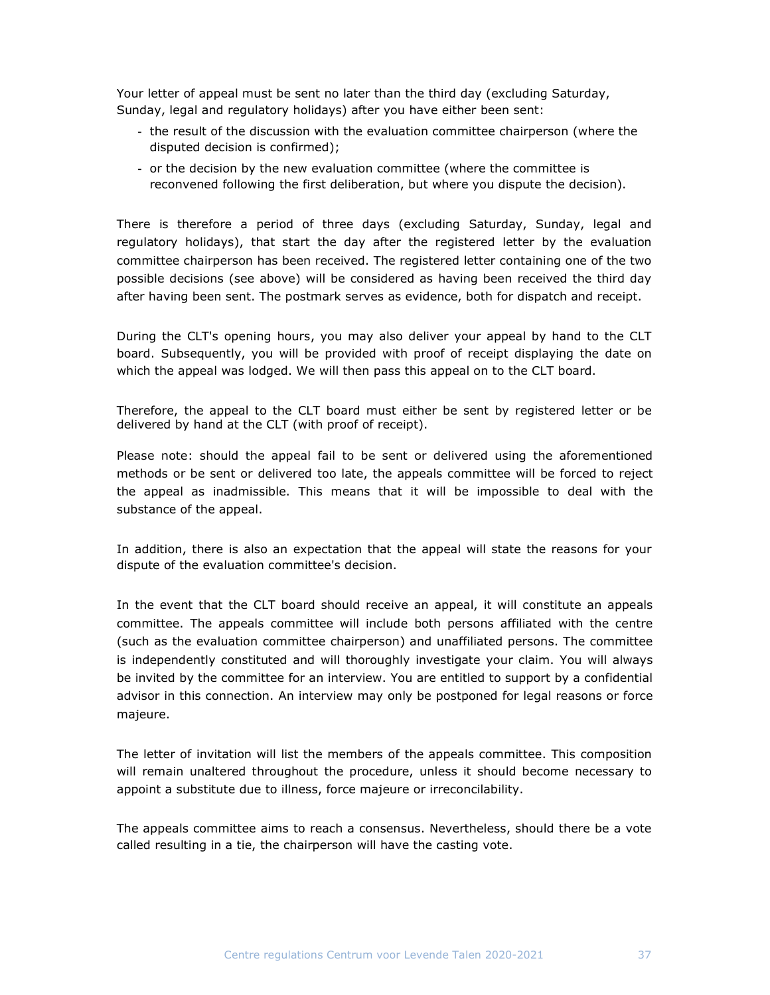Your letter of appeal must be sent no later than the third day (excluding Saturday, Sunday, legal and regulatory holidays) after you have either been sent:

- the result of the discussion with the evaluation committee chairperson (where the disputed decision is confirmed);
- or the decision by the new evaluation committee (where the committee is reconvened following the first deliberation, but where you dispute the decision).

There is therefore a period of three days (excluding Saturday, Sunday, legal and regulatory holidays), that start the day after the registered letter by the evaluation committee chairperson has been received. The registered letter containing one of the two possible decisions (see above) will be considered as having been received the third day after having been sent. The postmark serves as evidence, both for dispatch and receipt.

During the CLT's opening hours, you may also deliver your appeal by hand to the CLT board. Subsequently, you will be provided with proof of receipt displaying the date on which the appeal was lodged. We will then pass this appeal on to the CLT board.

Therefore, the appeal to the CLT board must either be sent by registered letter or be delivered by hand at the CLT (with proof of receipt).

Please note: should the appeal fail to be sent or delivered using the aforementioned methods or be sent or delivered too late, the appeals committee will be forced to reject the appeal as inadmissible. This means that it will be impossible to deal with the substance of the appeal.

In addition, there is also an expectation that the appeal will state the reasons for your dispute of the evaluation committee's decision.

In the event that the CLT board should receive an appeal, it will constitute an appeals committee. The appeals committee will include both persons affiliated with the centre (such as the evaluation committee chairperson) and unaffiliated persons. The committee is independently constituted and will thoroughly investigate your claim. You will always be invited by the committee for an interview. You are entitled to support by a confidential advisor in this connection. An interview may only be postponed for legal reasons or force majeure.

The letter of invitation will list the members of the appeals committee. This composition will remain unaltered throughout the procedure, unless it should become necessary to appoint a substitute due to illness, force majeure or irreconcilability.

The appeals committee aims to reach a consensus. Nevertheless, should there be a vote called resulting in a tie, the chairperson will have the casting vote.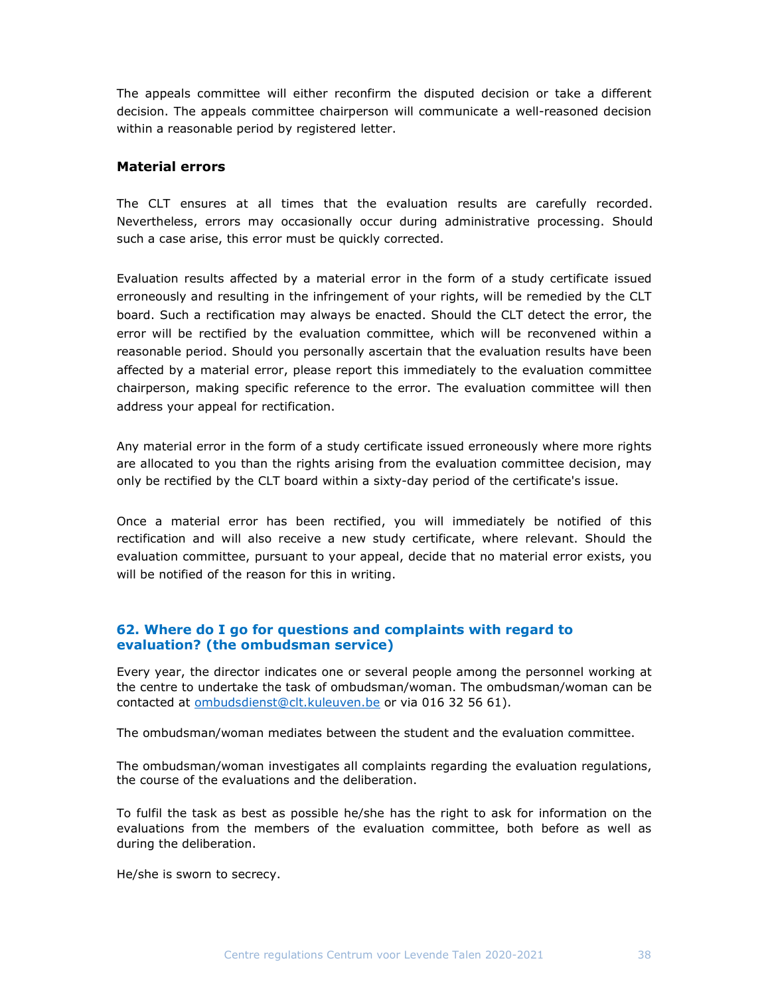The appeals committee will either reconfirm the disputed decision or take a different decision. The appeals committee chairperson will communicate a well-reasoned decision within a reasonable period by registered letter.

#### Material errors

The CLT ensures at all times that the evaluation results are carefully recorded. Nevertheless, errors may occasionally occur during administrative processing. Should such a case arise, this error must be quickly corrected.

Evaluation results affected by a material error in the form of a study certificate issued erroneously and resulting in the infringement of your rights, will be remedied by the CLT board. Such a rectification may always be enacted. Should the CLT detect the error, the error will be rectified by the evaluation committee, which will be reconvened within a reasonable period. Should you personally ascertain that the evaluation results have been affected by a material error, please report this immediately to the evaluation committee chairperson, making specific reference to the error. The evaluation committee will then address your appeal for rectification.

Any material error in the form of a study certificate issued erroneously where more rights are allocated to you than the rights arising from the evaluation committee decision, may only be rectified by the CLT board within a sixty-day period of the certificate's issue.

Once a material error has been rectified, you will immediately be notified of this rectification and will also receive a new study certificate, where relevant. Should the evaluation committee, pursuant to your appeal, decide that no material error exists, you will be notified of the reason for this in writing.

## 62. Where do I go for questions and complaints with regard to evaluation? (the ombudsman service)

Every year, the director indicates one or several people among the personnel working at the centre to undertake the task of ombudsman/woman. The ombudsman/woman can be contacted at ombudsdienst@clt.kuleuven.be or via 016 32 56 61).

The ombudsman/woman mediates between the student and the evaluation committee.

The ombudsman/woman investigates all complaints regarding the evaluation regulations, the course of the evaluations and the deliberation.

To fulfil the task as best as possible he/she has the right to ask for information on the evaluations from the members of the evaluation committee, both before as well as during the deliberation.

He/she is sworn to secrecy.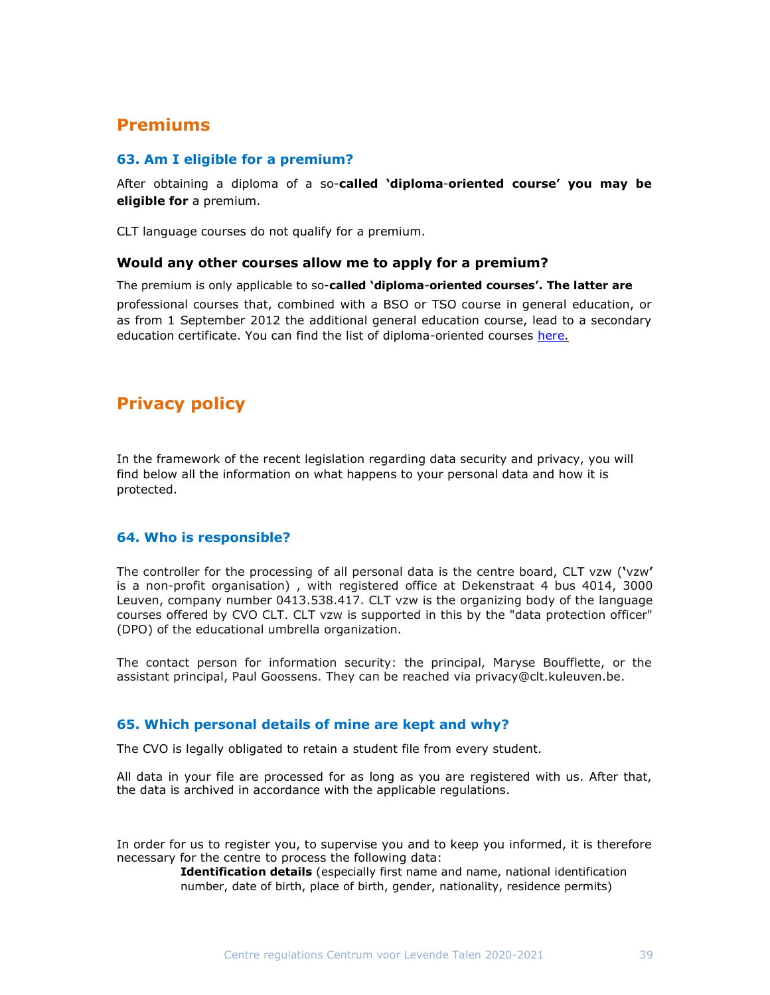# Premiums

## 63. Am I eligible for a premium?

After obtaining a diploma of a so-called 'diploma-oriented course' you may be eligible for a premium.

CLT language courses do not qualify for a premium.

#### Would any other courses allow me to apply for a premium?

The premium is only applicable to so-called 'diploma-oriented courses'. The latter are

professional courses that, combined with a BSO or TSO course in general education, or as from 1 September 2012 the additional general education course, lead to a secondary education certificate. You can find the list of diploma-oriented courses here.

# Privacy policy

In the framework of the recent legislation regarding data security and privacy, you will find below all the information on what happens to your personal data and how it is protected.

## 64. Who is responsible?

The controller for the processing of all personal data is the centre board, CLT vzw ('vzw' is a non-profit organisation) , with registered office at Dekenstraat 4 bus 4014, 3000 Leuven, company number 0413.538.417. CLT vzw is the organizing body of the language courses offered by CVO CLT. CLT vzw is supported in this by the "data protection officer" (DPO) of the educational umbrella organization.

The contact person for information security: the principal, Maryse Boufflette, or the assistant principal, Paul Goossens. They can be reached via privacy@clt.kuleuven.be.

## 65. Which personal details of mine are kept and why?

The CVO is legally obligated to retain a student file from every student.

All data in your file are processed for as long as you are registered with us. After that, the data is archived in accordance with the applicable regulations.

In order for us to register you, to supervise you and to keep you informed, it is therefore necessary for the centre to process the following data:

Identification details (especially first name and name, national identification number, date of birth, place of birth, gender, nationality, residence permits)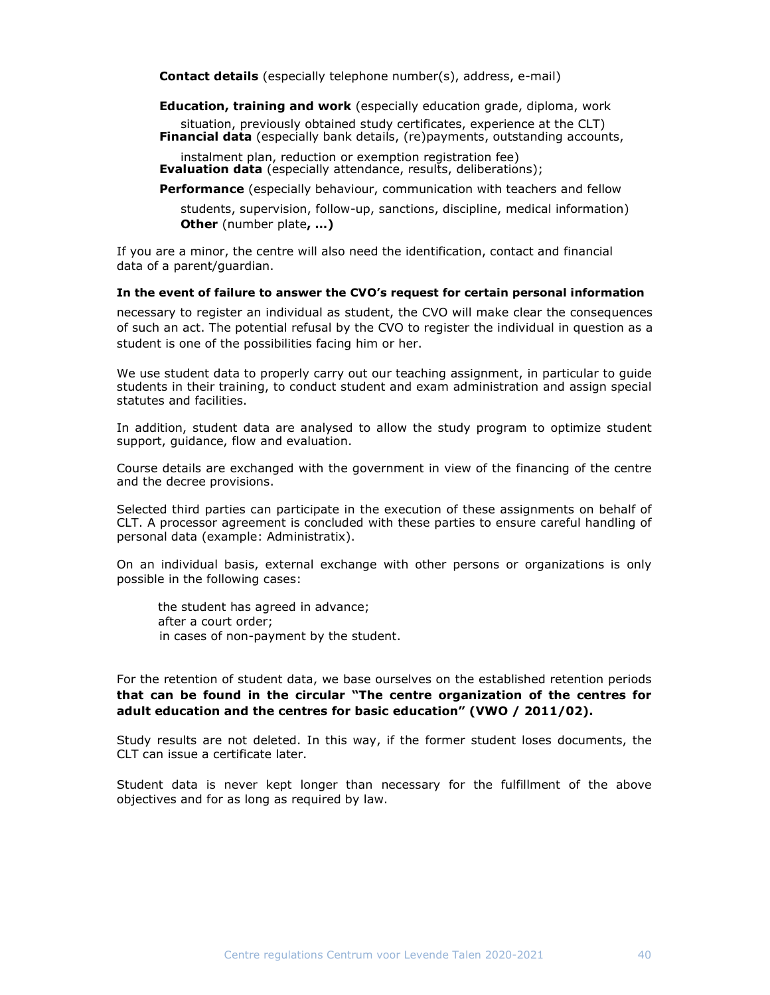Contact details (especially telephone number(s), address, e-mail)

Education, training and work (especially education grade, diploma, work

situation, previously obtained study certificates, experience at the CLT) Financial data (especially bank details, (re)payments, outstanding accounts,

instalment plan, reduction or exemption registration fee) **Evaluation data** (especially attendance, results, deliberations);

**Performance** (especially behaviour, communication with teachers and fellow

students, supervision, follow-up, sanctions, discipline, medical information) **Other** (number plate, ...)

If you are a minor, the centre will also need the identification, contact and financial data of a parent/guardian.

#### In the event of failure to answer the CVO's request for certain personal information

necessary to register an individual as student, the CVO will make clear the consequences of such an act. The potential refusal by the CVO to register the individual in question as a student is one of the possibilities facing him or her.

We use student data to properly carry out our teaching assignment, in particular to guide students in their training, to conduct student and exam administration and assign special statutes and facilities.

In addition, student data are analysed to allow the study program to optimize student support, guidance, flow and evaluation.

Course details are exchanged with the government in view of the financing of the centre and the decree provisions.

Selected third parties can participate in the execution of these assignments on behalf of CLT. A processor agreement is concluded with these parties to ensure careful handling of personal data (example: Administratix).

On an individual basis, external exchange with other persons or organizations is only possible in the following cases:

the student has agreed in advance; after a court order; in cases of non-payment by the student.

For the retention of student data, we base ourselves on the established retention periods that can be found in the circular "The centre organization of the centres for adult education and the centres for basic education" (VWO / 2011/02).

Study results are not deleted. In this way, if the former student loses documents, the CLT can issue a certificate later.

Student data is never kept longer than necessary for the fulfillment of the above objectives and for as long as required by law.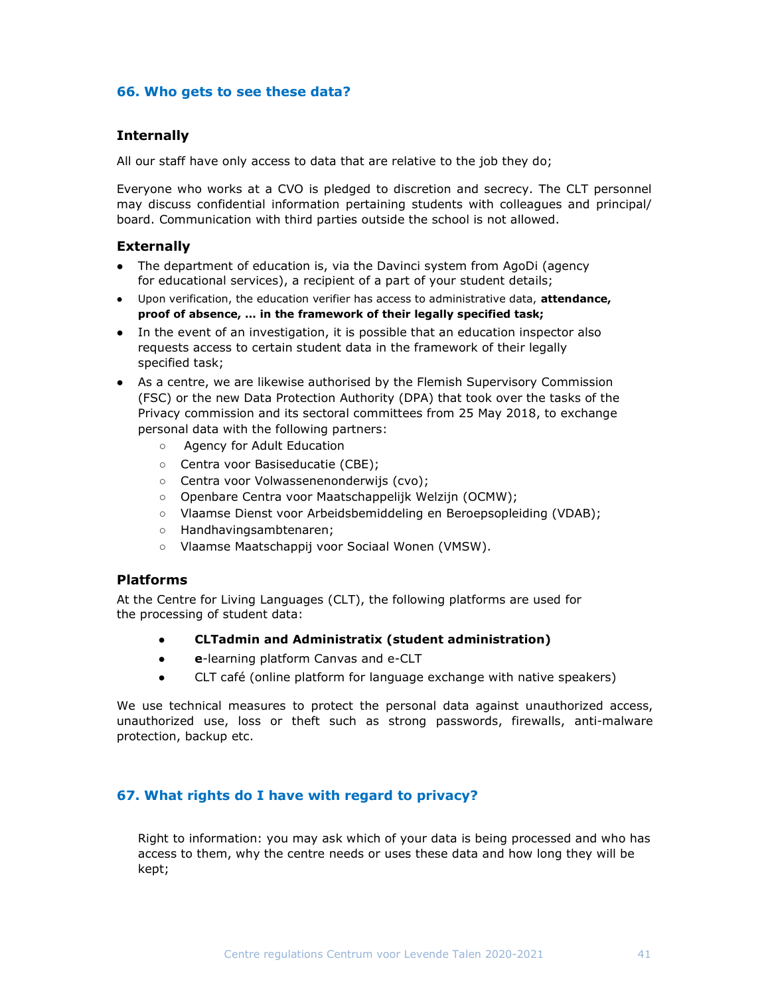## 66. Who gets to see these data?

## **Internally**

All our staff have only access to data that are relative to the job they do;

Everyone who works at a CVO is pledged to discretion and secrecy. The CLT personnel may discuss confidential information pertaining students with colleagues and principal/ board. Communication with third parties outside the school is not allowed.

## **Externally**

- The department of education is, via the Davinci system from AgoDi (agency for educational services), a recipient of a part of your student details;
- Upon verification, the education verifier has access to administrative data, attendance, proof of absence, … in the framework of their legally specified task;
- In the event of an investigation, it is possible that an education inspector also requests access to certain student data in the framework of their legally specified task;
- As a centre, we are likewise authorised by the Flemish Supervisory Commission (FSC) or the new Data Protection Authority (DPA) that took over the tasks of the Privacy commission and its sectoral committees from 25 May 2018, to exchange personal data with the following partners:
	- Agency for Adult Education
	- Centra voor Basiseducatie (CBE);
	- Centra voor Volwassenenonderwijs (cvo);
	- Openbare Centra voor Maatschappelijk Welzijn (OCMW);
	- Vlaamse Dienst voor Arbeidsbemiddeling en Beroepsopleiding (VDAB);
	- Handhavingsambtenaren;
	- Vlaamse Maatschappij voor Sociaal Wonen (VMSW).

## Platforms

At the Centre for Living Languages (CLT), the following platforms are used for the processing of student data:

- CLTadmin and Administratix (student administration)
- e-learning platform Canvas and e-CLT
- CLT café (online platform for language exchange with native speakers)

We use technical measures to protect the personal data against unauthorized access, unauthorized use, loss or theft such as strong passwords, firewalls, anti-malware protection, backup etc.

## 67. What rights do I have with regard to privacy?

Right to information: you may ask which of your data is being processed and who has access to them, why the centre needs or uses these data and how long they will be kept;